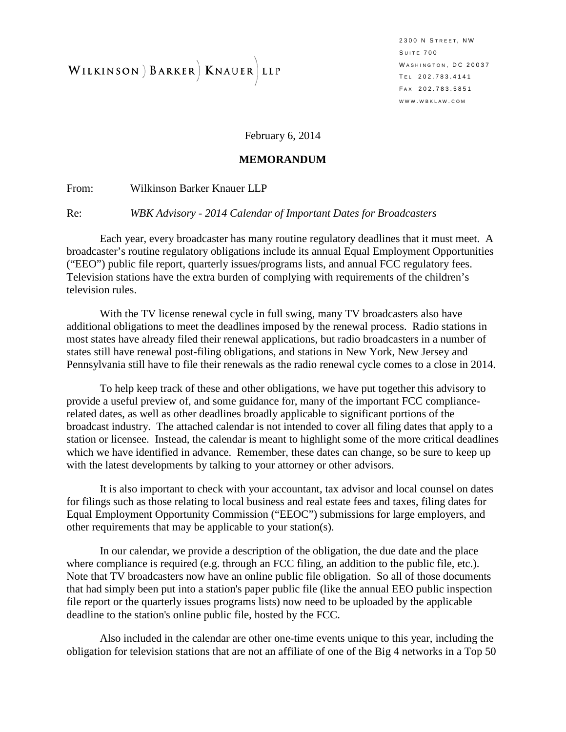WILKINSON ) BARKER | KNAUER LLP

2300 N STREET, NW S UITE 700 WASHINGTON, DC 20037 T EL 202.783.4141 F AX 202.783.5851 WWW . WBKLAW . COM

February 6, 2014

#### **MEMORANDUM**

From: Wilkinson Barker Knauer LLP

Re: *WBK Advisory - 2014 Calendar of Important Dates for Broadcasters*

Each year, every broadcaster has many routine regulatory deadlines that it must meet. A broadcaster's routine regulatory obligations include its annual Equal Employment Opportunities ("EEO") public file report, quarterly issues/programs lists, and annual FCC regulatory fees. Television stations have the extra burden of complying with requirements of the children's television rules.

With the TV license renewal cycle in full swing, many TV broadcasters also have additional obligations to meet the deadlines imposed by the renewal process. Radio stations in most states have already filed their renewal applications, but radio broadcasters in a number of states still have renewal post-filing obligations, and stations in New York, New Jersey and Pennsylvania still have to file their renewals as the radio renewal cycle comes to a close in 2014.

To help keep track of these and other obligations, we have put together this advisory to provide a useful preview of, and some guidance for, many of the important FCC compliancerelated dates, as well as other deadlines broadly applicable to significant portions of the broadcast industry. The attached calendar is not intended to cover all filing dates that apply to a station or licensee. Instead, the calendar is meant to highlight some of the more critical deadlines which we have identified in advance. Remember, these dates can change, so be sure to keep up with the latest developments by talking to your attorney or other advisors.

It is also important to check with your accountant, tax advisor and local counsel on dates for filings such as those relating to local business and real estate fees and taxes, filing dates for Equal Employment Opportunity Commission ("EEOC") submissions for large employers, and other requirements that may be applicable to your station(s).

In our calendar, we provide a description of the obligation, the due date and the place where compliance is required (e.g. through an FCC filing, an addition to the public file, etc.). Note that TV broadcasters now have an online public file obligation. So all of those documents that had simply been put into a station's paper public file (like the annual EEO public inspection file report or the quarterly issues programs lists) now need to be uploaded by the applicable deadline to the station's online public file, hosted by the FCC.

Also included in the calendar are other one-time events unique to this year, including the obligation for television stations that are not an affiliate of one of the Big 4 networks in a Top 50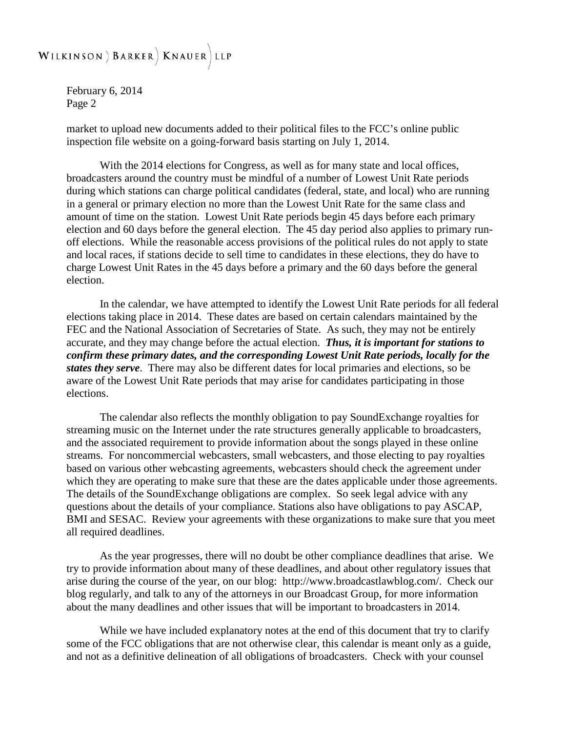#### WILKINSON ) BARKER | KNAUER LLP

February 6, 2014 Page 2

market to upload new documents added to their political files to the FCC's online public inspection file website on a going-forward basis starting on July 1, 2014.

With the 2014 elections for Congress, as well as for many state and local offices, broadcasters around the country must be mindful of a number of Lowest Unit Rate periods during which stations can charge political candidates (federal, state, and local) who are running in a general or primary election no more than the Lowest Unit Rate for the same class and amount of time on the station. Lowest Unit Rate periods begin 45 days before each primary election and 60 days before the general election. The 45 day period also applies to primary runoff elections. While the reasonable access provisions of the political rules do not apply to state and local races, if stations decide to sell time to candidates in these elections, they do have to charge Lowest Unit Rates in the 45 days before a primary and the 60 days before the general election.

In the calendar, we have attempted to identify the Lowest Unit Rate periods for all federal elections taking place in 2014. These dates are based on certain calendars maintained by the FEC and the National Association of Secretaries of State. As such, they may not be entirely accurate, and they may change before the actual election. *Thus, it is important for stations to confirm these primary dates, and the corresponding Lowest Unit Rate periods, locally for the states they serve*. There may also be different dates for local primaries and elections, so be aware of the Lowest Unit Rate periods that may arise for candidates participating in those elections.

The calendar also reflects the monthly obligation to pay SoundExchange royalties for streaming music on the Internet under the rate structures generally applicable to broadcasters, and the associated requirement to provide information about the songs played in these online streams. For noncommercial webcasters, small webcasters, and those electing to pay royalties based on various other webcasting agreements, webcasters should check the agreement under which they are operating to make sure that these are the dates applicable under those agreements. The details of the SoundExchange obligations are complex. So seek legal advice with any questions about the details of your compliance. Stations also have obligations to pay ASCAP, BMI and SESAC. Review your agreements with these organizations to make sure that you meet all required deadlines.

As the year progresses, there will no doubt be other compliance deadlines that arise. We try to provide information about many of these deadlines, and about other regulatory issues that arise during the course of the year, on our blog: [http://www.broadcastlawblog.com/.](http://www.broadcastlawblog.com/) Check our blog regularly, and talk to any of the attorneys in our Broadcast Group, for more information about the many deadlines and other issues that will be important to broadcasters in 2014.

While we have included explanatory notes at the end of this document that try to clarify some of the FCC obligations that are not otherwise clear, this calendar is meant only as a guide, and not as a definitive delineation of all obligations of broadcasters. Check with your counsel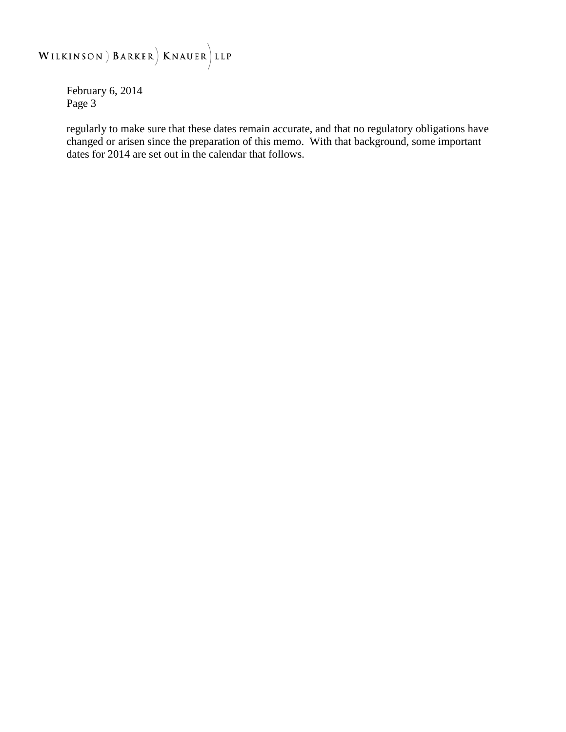# WILKINSON ) BARKER | KNAUER LLP

February 6, 2014 Page 3

regularly to make sure that these dates remain accurate, and that no regulatory obligations have changed or arisen since the preparation of this memo. With that background, some important dates for 2014 are set out in the calendar that follows.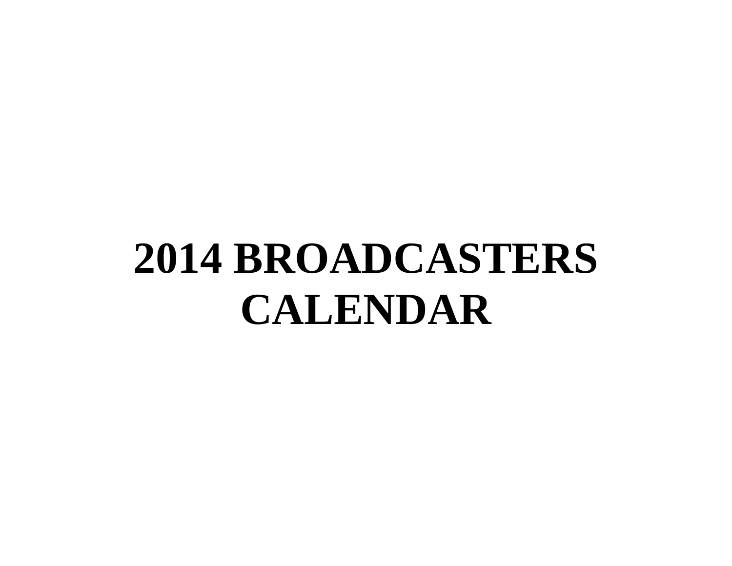# **2014 BROADCASTERS CALENDAR**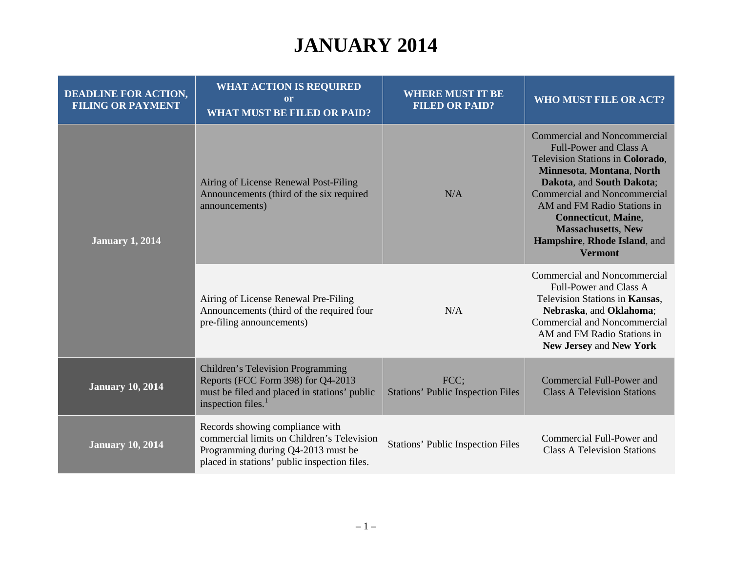# **JANUARY 2014**

| <b>DEADLINE FOR ACTION,</b><br><b>FILING OR PAYMENT</b> | <b>WHAT ACTION IS REQUIRED</b><br><sub>or</sub><br><b>WHAT MUST BE FILED OR PAID?</b>                                                                               | <b>WHERE MUST IT BE</b><br><b>FILED OR PAID?</b> | WHO MUST FILE OR ACT?                                                                                                                                                                                                                                                                                                                                 |
|---------------------------------------------------------|---------------------------------------------------------------------------------------------------------------------------------------------------------------------|--------------------------------------------------|-------------------------------------------------------------------------------------------------------------------------------------------------------------------------------------------------------------------------------------------------------------------------------------------------------------------------------------------------------|
| <b>January 1, 2014</b>                                  | Airing of License Renewal Post-Filing<br>Announcements (third of the six required<br>announcements)                                                                 | N/A                                              | <b>Commercial and Noncommercial</b><br><b>Full-Power and Class A</b><br>Television Stations in Colorado,<br>Minnesota, Montana, North<br>Dakota, and South Dakota;<br><b>Commercial and Noncommercial</b><br>AM and FM Radio Stations in<br><b>Connecticut, Maine,</b><br><b>Massachusetts, New</b><br>Hampshire, Rhode Island, and<br><b>Vermont</b> |
|                                                         | Airing of License Renewal Pre-Filing<br>Announcements (third of the required four<br>pre-filing announcements)                                                      | N/A                                              | Commercial and Noncommercial<br>Full-Power and Class A<br>Television Stations in Kansas,<br>Nebraska, and Oklahoma;<br><b>Commercial and Noncommercial</b><br>AM and FM Radio Stations in<br>New Jersey and New York                                                                                                                                  |
| <b>January 10, 2014</b>                                 | Children's Television Programming<br>Reports (FCC Form 398) for Q4-2013<br>must be filed and placed in stations' public<br>inspection files. <sup>1</sup>           | FCC;<br><b>Stations' Public Inspection Files</b> | Commercial Full-Power and<br><b>Class A Television Stations</b>                                                                                                                                                                                                                                                                                       |
| <b>January 10, 2014</b>                                 | Records showing compliance with<br>commercial limits on Children's Television<br>Programming during Q4-2013 must be<br>placed in stations' public inspection files. | <b>Stations' Public Inspection Files</b>         | Commercial Full-Power and<br><b>Class A Television Stations</b>                                                                                                                                                                                                                                                                                       |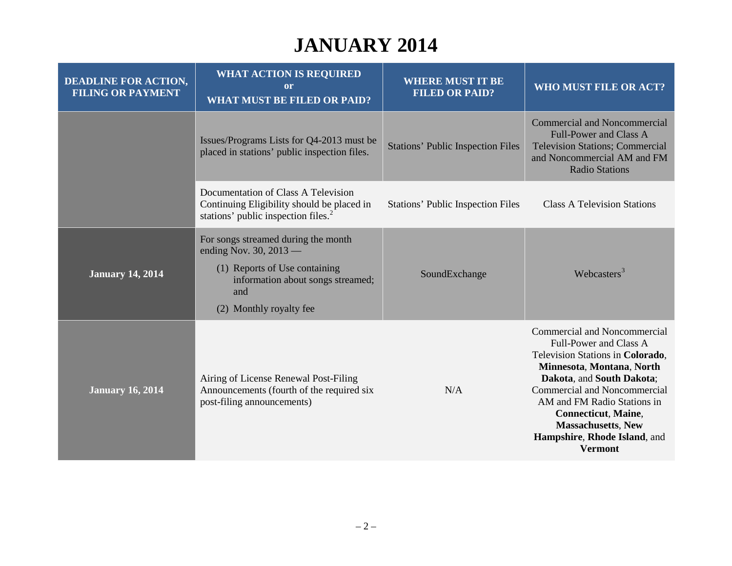# **JANUARY 2014**

| <b>DEADLINE FOR ACTION,</b><br><b>FILING OR PAYMENT</b> | <b>WHAT ACTION IS REQUIRED</b><br><sub>or</sub><br><b>WHAT MUST BE FILED OR PAID?</b>                                                                                   | <b>WHERE MUST IT BE</b><br><b>FILED OR PAID?</b> | WHO MUST FILE OR ACT?                                                                                                                                                                                                                                                                                                                    |
|---------------------------------------------------------|-------------------------------------------------------------------------------------------------------------------------------------------------------------------------|--------------------------------------------------|------------------------------------------------------------------------------------------------------------------------------------------------------------------------------------------------------------------------------------------------------------------------------------------------------------------------------------------|
|                                                         | Issues/Programs Lists for Q4-2013 must be<br>placed in stations' public inspection files.                                                                               | <b>Stations' Public Inspection Files</b>         | <b>Commercial and Noncommercial</b><br><b>Full-Power and Class A</b><br><b>Television Stations; Commercial</b><br>and Noncommercial AM and FM<br><b>Radio Stations</b>                                                                                                                                                                   |
|                                                         | Documentation of Class A Television<br>Continuing Eligibility should be placed in<br>stations' public inspection files. <sup>2</sup>                                    | <b>Stations' Public Inspection Files</b>         | <b>Class A Television Stations</b>                                                                                                                                                                                                                                                                                                       |
| <b>January 14, 2014</b>                                 | For songs streamed during the month<br>ending Nov. 30, $2013$ —<br>(1) Reports of Use containing<br>information about songs streamed;<br>and<br>(2) Monthly royalty fee | SoundExchange                                    | Webcasters <sup>3</sup>                                                                                                                                                                                                                                                                                                                  |
| <b>January 16, 2014</b>                                 | Airing of License Renewal Post-Filing<br>Announcements (fourth of the required six<br>post-filing announcements)                                                        | N/A                                              | Commercial and Noncommercial<br>Full-Power and Class A<br>Television Stations in Colorado,<br>Minnesota, Montana, North<br>Dakota, and South Dakota;<br><b>Commercial and Noncommercial</b><br>AM and FM Radio Stations in<br><b>Connecticut</b> , Maine,<br><b>Massachusetts, New</b><br>Hampshire, Rhode Island, and<br><b>Vermont</b> |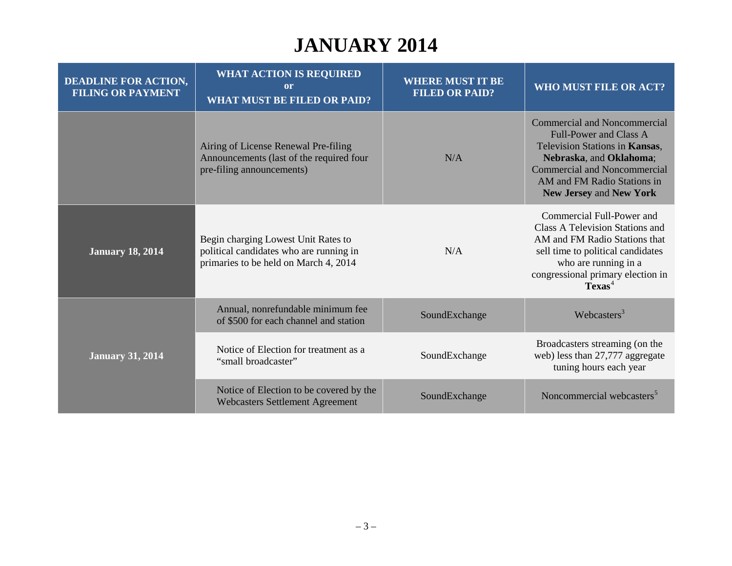# **JANUARY 2014**

| <b>DEADLINE FOR ACTION,</b><br><b>FILING OR PAYMENT</b> | <b>WHAT ACTION IS REQUIRED</b><br>or<br><b>WHAT MUST BE FILED OR PAID?</b>                                              | <b>WHERE MUST IT BE</b><br><b>FILED OR PAID?</b> | WHO MUST FILE OR ACT?                                                                                                                                                                                                           |
|---------------------------------------------------------|-------------------------------------------------------------------------------------------------------------------------|--------------------------------------------------|---------------------------------------------------------------------------------------------------------------------------------------------------------------------------------------------------------------------------------|
|                                                         | Airing of License Renewal Pre-filing<br>Announcements (last of the required four<br>pre-filing announcements)           | N/A                                              | Commercial and Noncommercial<br>Full-Power and Class A<br>Television Stations in Kansas,<br>Nebraska, and Oklahoma;<br><b>Commercial and Noncommercial</b><br>AM and FM Radio Stations in<br>New Jersey and New York            |
| <b>January 18, 2014</b>                                 | Begin charging Lowest Unit Rates to<br>political candidates who are running in<br>primaries to be held on March 4, 2014 | N/A                                              | Commercial Full-Power and<br><b>Class A Television Stations and</b><br>AM and FM Radio Stations that<br>sell time to political candidates<br>who are running in a<br>congressional primary election in<br>$T$ exas <sup>4</sup> |
|                                                         | Annual, nonrefundable minimum fee<br>of \$500 for each channel and station                                              | SoundExchange                                    | Webcasters $3$                                                                                                                                                                                                                  |
| <b>January 31, 2014</b>                                 | Notice of Election for treatment as a<br>"small broadcaster"                                                            | SoundExchange                                    | Broadcasters streaming (on the<br>web) less than 27,777 aggregate<br>tuning hours each year                                                                                                                                     |
|                                                         | Notice of Election to be covered by the<br><b>Webcasters Settlement Agreement</b>                                       | SoundExchange                                    | Noncommercial webcasters <sup>5</sup>                                                                                                                                                                                           |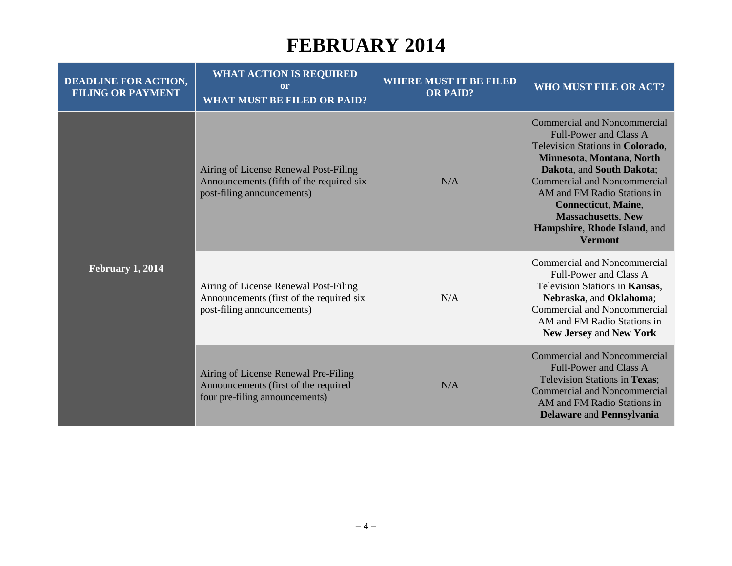| <b>DEADLINE FOR ACTION,</b><br><b>FILING OR PAYMENT</b> | <b>WHAT ACTION IS REQUIRED</b><br><b>or</b><br><b>WHAT MUST BE FILED OR PAID?</b>                               | <b>WHERE MUST IT BE FILED</b><br><b>OR PAID?</b> | WHO MUST FILE OR ACT?                                                                                                                                                                                                                                                                                                                                 |
|---------------------------------------------------------|-----------------------------------------------------------------------------------------------------------------|--------------------------------------------------|-------------------------------------------------------------------------------------------------------------------------------------------------------------------------------------------------------------------------------------------------------------------------------------------------------------------------------------------------------|
| <b>February 1, 2014</b>                                 | Airing of License Renewal Post-Filing<br>Announcements (fifth of the required six<br>post-filing announcements) | N/A                                              | <b>Commercial and Noncommercial</b><br><b>Full-Power and Class A</b><br>Television Stations in Colorado,<br>Minnesota, Montana, North<br>Dakota, and South Dakota;<br><b>Commercial and Noncommercial</b><br>AM and FM Radio Stations in<br><b>Connecticut, Maine,</b><br><b>Massachusetts, New</b><br>Hampshire, Rhode Island, and<br><b>Vermont</b> |
|                                                         | Airing of License Renewal Post-Filing<br>Announcements (first of the required six<br>post-filing announcements) | N/A                                              | Commercial and Noncommercial<br>Full-Power and Class A<br>Television Stations in Kansas,<br>Nebraska, and Oklahoma;<br>Commercial and Noncommercial<br>AM and FM Radio Stations in<br>New Jersey and New York                                                                                                                                         |
|                                                         | Airing of License Renewal Pre-Filing<br>Announcements (first of the required<br>four pre-filing announcements)  | N/A                                              | Commercial and Noncommercial<br><b>Full-Power and Class A</b><br>Television Stations in Texas;<br><b>Commercial and Noncommercial</b><br>AM and FM Radio Stations in<br><b>Delaware and Pennsylvania</b>                                                                                                                                              |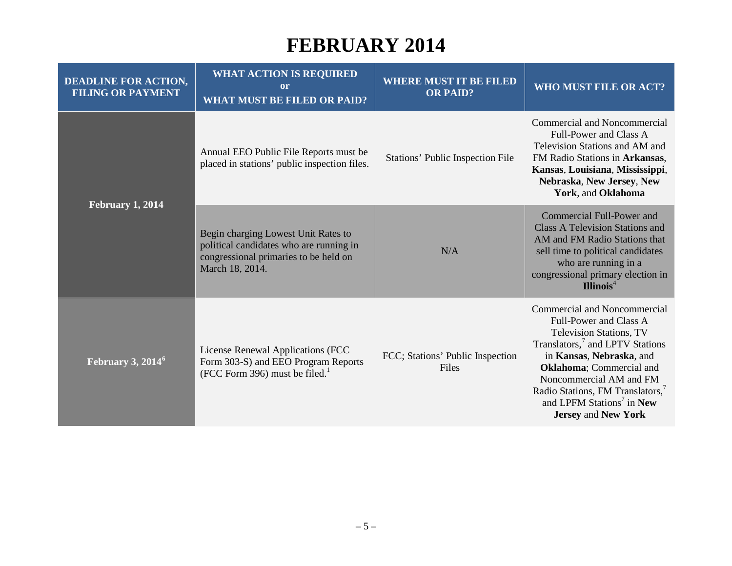| <b>DEADLINE FOR ACTION,</b><br><b>FILING OR PAYMENT</b> | <b>WHAT ACTION IS REQUIRED</b><br><b>or</b><br><b>WHAT MUST BE FILED OR PAID?</b>                                                          | <b>WHERE MUST IT BE FILED</b><br><b>OR PAID?</b> | WHO MUST FILE OR ACT?                                                                                                                                                                                                                                                                                                                                     |
|---------------------------------------------------------|--------------------------------------------------------------------------------------------------------------------------------------------|--------------------------------------------------|-----------------------------------------------------------------------------------------------------------------------------------------------------------------------------------------------------------------------------------------------------------------------------------------------------------------------------------------------------------|
| February 1, 2014                                        | Annual EEO Public File Reports must be<br>placed in stations' public inspection files.                                                     | <b>Stations' Public Inspection File</b>          | Commercial and Noncommercial<br>Full-Power and Class A<br>Television Stations and AM and<br>FM Radio Stations in Arkansas,<br>Kansas, Louisiana, Mississippi,<br>Nebraska, New Jersey, New<br>York, and Oklahoma                                                                                                                                          |
|                                                         | Begin charging Lowest Unit Rates to<br>political candidates who are running in<br>congressional primaries to be held on<br>March 18, 2014. | N/A                                              | Commercial Full-Power and<br><b>Class A Television Stations and</b><br>AM and FM Radio Stations that<br>sell time to political candidates<br>who are running in a<br>congressional primary election in<br>Illinois <sup>4</sup>                                                                                                                           |
| February 3, 2014 <sup>6</sup>                           | License Renewal Applications (FCC<br>Form 303-S) and EEO Program Reports<br>(FCC Form 396) must be filed. $1$                              | FCC; Stations' Public Inspection<br>Files        | <b>Commercial and Noncommercial</b><br>Full-Power and Class A<br>Television Stations, TV<br>Translators, <sup>7</sup> and LPTV Stations<br>in Kansas, Nebraska, and<br><b>Oklahoma</b> ; Commercial and<br>Noncommercial AM and FM<br>Radio Stations, FM Translators, <sup>7</sup><br>and LPFM Stations <sup>7</sup> in New<br><b>Jersey and New York</b> |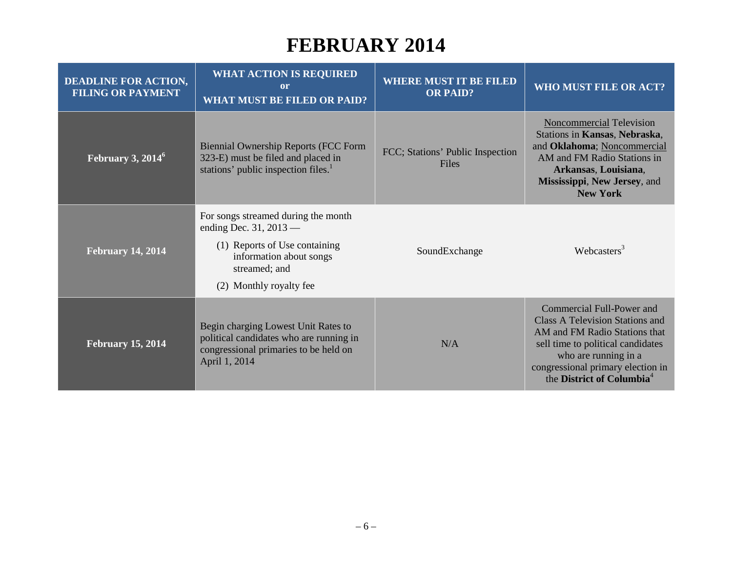| <b>DEADLINE FOR ACTION,</b><br><b>FILING OR PAYMENT</b> | <b>WHAT ACTION IS REQUIRED</b><br>or<br><b>WHAT MUST BE FILED OR PAID?</b>                                                                                              | <b>WHERE MUST IT BE FILED</b><br><b>OR PAID?</b> | WHO MUST FILE OR ACT?                                                                                                                                                                                                                    |
|---------------------------------------------------------|-------------------------------------------------------------------------------------------------------------------------------------------------------------------------|--------------------------------------------------|------------------------------------------------------------------------------------------------------------------------------------------------------------------------------------------------------------------------------------------|
| February 3, $2014^6$                                    | <b>Biennial Ownership Reports (FCC Form</b><br>323-E) must be filed and placed in<br>stations' public inspection files. <sup>1</sup>                                    | FCC; Stations' Public Inspection<br>Files        | <b>Noncommercial Television</b><br>Stations in Kansas, Nebraska,<br>and Oklahoma; Noncommercial<br>AM and FM Radio Stations in<br>Arkansas, Louisiana,<br>Mississippi, New Jersey, and<br><b>New York</b>                                |
| <b>February 14, 2014</b>                                | For songs streamed during the month<br>ending Dec. 31, $2013$ —<br>(1) Reports of Use containing<br>information about songs<br>streamed; and<br>(2) Monthly royalty fee | SoundExchange                                    | Webcasters <sup>3</sup>                                                                                                                                                                                                                  |
| <b>February 15, 2014</b>                                | Begin charging Lowest Unit Rates to<br>political candidates who are running in<br>congressional primaries to be held on<br>April 1, 2014                                | N/A                                              | Commercial Full-Power and<br>Class A Television Stations and<br>AM and FM Radio Stations that<br>sell time to political candidates<br>who are running in a<br>congressional primary election in<br>the District of Columbia <sup>4</sup> |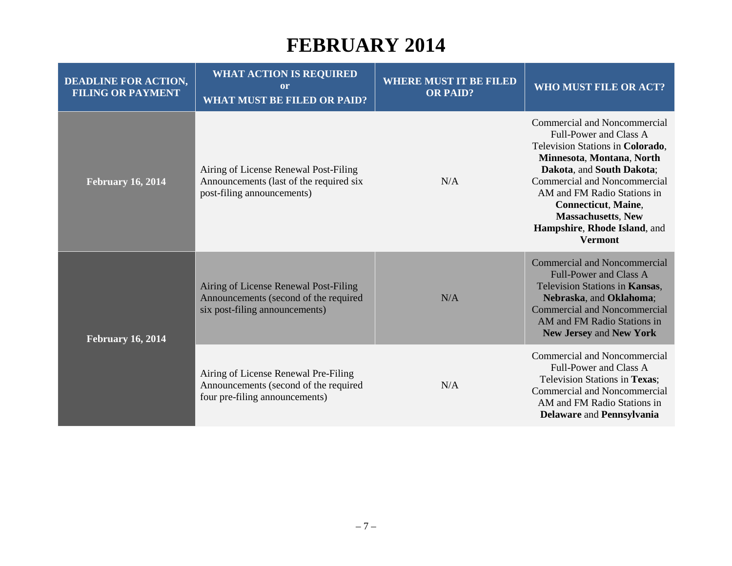| <b>DEADLINE FOR ACTION,</b><br><b>FILING OR PAYMENT</b> | <b>WHAT ACTION IS REQUIRED</b><br>or<br><b>WHAT MUST BE FILED OR PAID?</b>                                       | <b>WHERE MUST IT BE FILED</b><br><b>OR PAID?</b> | WHO MUST FILE OR ACT?                                                                                                                                                                                                                                                                                                            |
|---------------------------------------------------------|------------------------------------------------------------------------------------------------------------------|--------------------------------------------------|----------------------------------------------------------------------------------------------------------------------------------------------------------------------------------------------------------------------------------------------------------------------------------------------------------------------------------|
| <b>February 16, 2014</b>                                | Airing of License Renewal Post-Filing<br>Announcements (last of the required six<br>post-filing announcements)   | N/A                                              | Commercial and Noncommercial<br>Full-Power and Class A<br>Television Stations in Colorado,<br>Minnesota, Montana, North<br>Dakota, and South Dakota;<br>Commercial and Noncommercial<br>AM and FM Radio Stations in<br><b>Connecticut, Maine,</b><br><b>Massachusetts, New</b><br>Hampshire, Rhode Island, and<br><b>Vermont</b> |
| <b>February 16, 2014</b>                                | Airing of License Renewal Post-Filing<br>Announcements (second of the required<br>six post-filing announcements) | N/A                                              | <b>Commercial and Noncommercial</b><br><b>Full-Power and Class A</b><br>Television Stations in Kansas,<br>Nebraska, and Oklahoma;<br>Commercial and Noncommercial<br>AM and FM Radio Stations in<br>New Jersey and New York                                                                                                      |
|                                                         | Airing of License Renewal Pre-Filing<br>Announcements (second of the required<br>four pre-filing announcements)  | N/A                                              | Commercial and Noncommercial<br>Full-Power and Class A<br>Television Stations in Texas;<br><b>Commercial and Noncommercial</b><br>AM and FM Radio Stations in<br><b>Delaware and Pennsylvania</b>                                                                                                                                |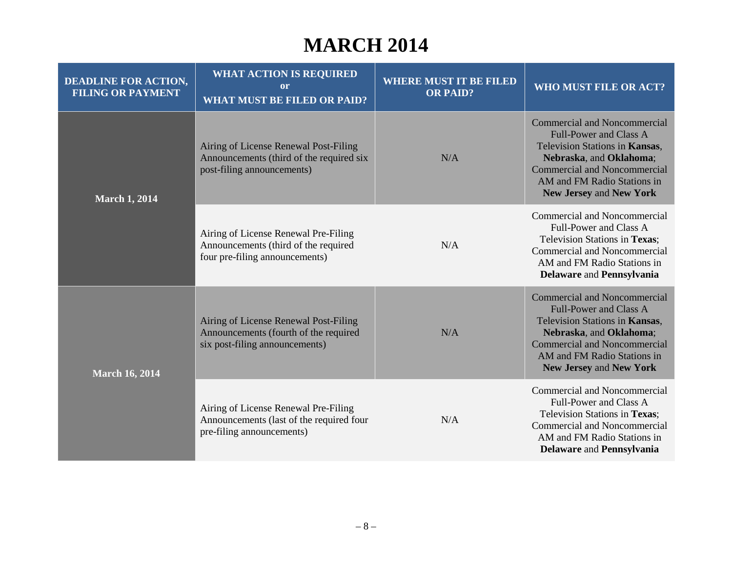#### **MARCH 2014**

| <b>DEADLINE FOR ACTION,</b><br><b>FILING OR PAYMENT</b> | <b>WHAT ACTION IS REQUIRED</b><br><sub>or</sub><br><b>WHAT MUST BE FILED OR PAID?</b>                            | <b>WHERE MUST IT BE FILED</b><br><b>OR PAID?</b> | <b>WHO MUST FILE OR ACT?</b>                                                                                                                                                                                                              |
|---------------------------------------------------------|------------------------------------------------------------------------------------------------------------------|--------------------------------------------------|-------------------------------------------------------------------------------------------------------------------------------------------------------------------------------------------------------------------------------------------|
| <b>March 1, 2014</b>                                    | Airing of License Renewal Post-Filing<br>Announcements (third of the required six<br>post-filing announcements)  | N/A                                              | <b>Commercial and Noncommercial</b><br><b>Full-Power and Class A</b><br>Television Stations in Kansas,<br>Nebraska, and Oklahoma;<br><b>Commercial and Noncommercial</b><br>AM and FM Radio Stations in<br>New Jersey and New York        |
|                                                         | Airing of License Renewal Pre-Filing<br>Announcements (third of the required<br>four pre-filing announcements)   | N/A                                              | Commercial and Noncommercial<br>Full-Power and Class A<br>Television Stations in Texas;<br>Commercial and Noncommercial<br>AM and FM Radio Stations in<br><b>Delaware and Pennsylvania</b>                                                |
| <b>March 16, 2014</b>                                   | Airing of License Renewal Post-Filing<br>Announcements (fourth of the required<br>six post-filing announcements) | N/A                                              | <b>Commercial and Noncommercial</b><br><b>Full-Power and Class A</b><br>Television Stations in Kansas,<br>Nebraska, and Oklahoma;<br><b>Commercial and Noncommercial</b><br>AM and FM Radio Stations in<br><b>New Jersey and New York</b> |
|                                                         | Airing of License Renewal Pre-Filing<br>Announcements (last of the required four<br>pre-filing announcements)    | N/A                                              | <b>Commercial and Noncommercial</b><br>Full-Power and Class A<br>Television Stations in Texas;<br>Commercial and Noncommercial<br>AM and FM Radio Stations in<br><b>Delaware and Pennsylvania</b>                                         |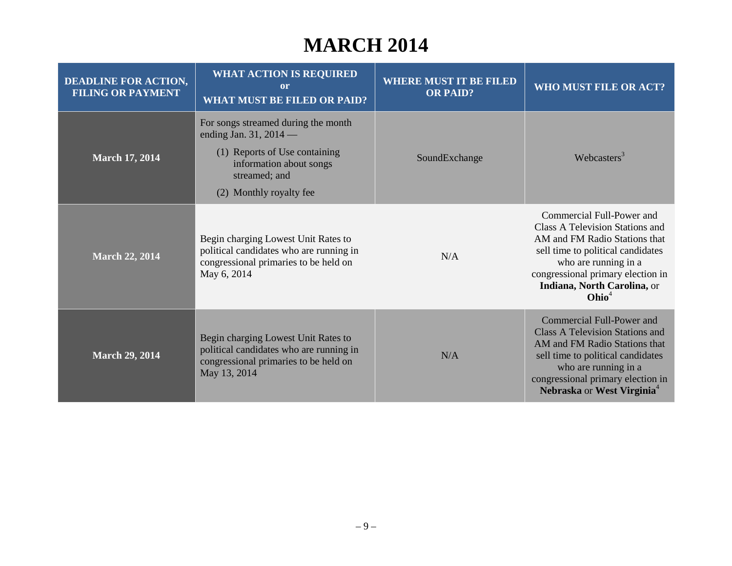#### **MARCH 2014**

| <b>DEADLINE FOR ACTION,</b><br><b>FILING OR PAYMENT</b> | <b>WHAT ACTION IS REQUIRED</b><br>or<br><b>WHAT MUST BE FILED OR PAID?</b>                                                                                              | <b>WHERE MUST IT BE FILED</b><br><b>OR PAID?</b> | WHO MUST FILE OR ACT?                                                                                                                                                                                                                               |
|---------------------------------------------------------|-------------------------------------------------------------------------------------------------------------------------------------------------------------------------|--------------------------------------------------|-----------------------------------------------------------------------------------------------------------------------------------------------------------------------------------------------------------------------------------------------------|
| <b>March 17, 2014</b>                                   | For songs streamed during the month<br>ending Jan. 31, 2014 $-$<br>(1) Reports of Use containing<br>information about songs<br>streamed; and<br>(2) Monthly royalty fee | SoundExchange                                    | Webcasters $3$                                                                                                                                                                                                                                      |
| <b>March 22, 2014</b>                                   | Begin charging Lowest Unit Rates to<br>political candidates who are running in<br>congressional primaries to be held on<br>May 6, 2014                                  | N/A                                              | Commercial Full-Power and<br>Class A Television Stations and<br>AM and FM Radio Stations that<br>sell time to political candidates<br>who are running in a<br>congressional primary election in<br>Indiana, North Carolina, or<br>Ohio <sup>4</sup> |
| <b>March 29, 2014</b>                                   | Begin charging Lowest Unit Rates to<br>political candidates who are running in<br>congressional primaries to be held on<br>May 13, 2014                                 | N/A                                              | Commercial Full-Power and<br><b>Class A Television Stations and</b><br>AM and FM Radio Stations that<br>sell time to political candidates<br>who are running in a<br>congressional primary election in<br>Nebraska or West Virginia <sup>4</sup>    |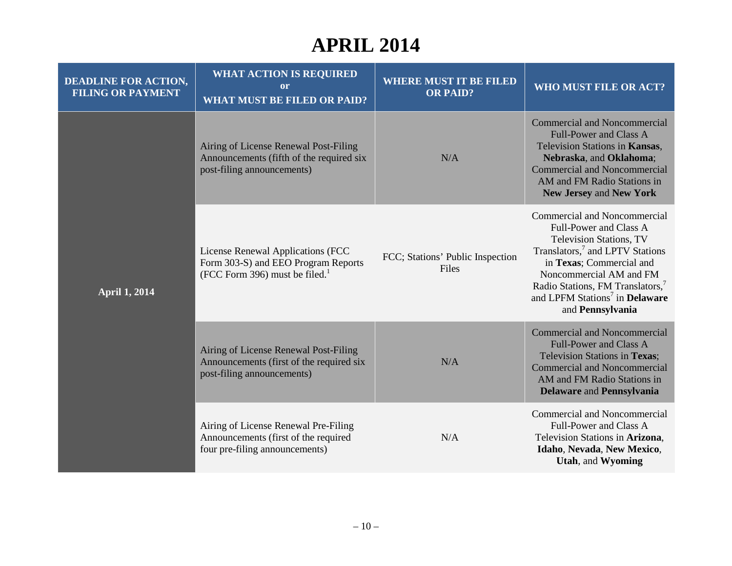| <b>DEADLINE FOR ACTION,</b><br><b>FILING OR PAYMENT</b> | <b>WHAT ACTION IS REQUIRED</b><br><sub>or</sub><br><b>WHAT MUST BE FILED OR PAID?</b>                            | <b>WHERE MUST IT BE FILED</b><br><b>OR PAID?</b> | <b>WHO MUST FILE OR ACT?</b>                                                                                                                                                                                                                                                                                      |
|---------------------------------------------------------|------------------------------------------------------------------------------------------------------------------|--------------------------------------------------|-------------------------------------------------------------------------------------------------------------------------------------------------------------------------------------------------------------------------------------------------------------------------------------------------------------------|
| <b>April 1, 2014</b>                                    | Airing of License Renewal Post-Filing<br>Announcements (fifth of the required six<br>post-filing announcements)  | N/A                                              | <b>Commercial and Noncommercial</b><br><b>Full-Power and Class A</b><br>Television Stations in Kansas,<br>Nebraska, and Oklahoma;<br><b>Commercial and Noncommercial</b><br>AM and FM Radio Stations in<br>New Jersey and New York                                                                                |
|                                                         | License Renewal Applications (FCC<br>Form 303-S) and EEO Program Reports<br>(FCC Form 396) must be filed. $^{1}$ | FCC; Stations' Public Inspection<br>Files        | <b>Commercial and Noncommercial</b><br>Full-Power and Class A<br><b>Television Stations, TV</b><br>Translators, <sup>7</sup> and LPTV Stations<br>in Texas; Commercial and<br>Noncommercial AM and FM<br>Radio Stations, FM Translators,<br>and LPFM Stations <sup>7</sup> in <b>Delaware</b><br>and Pennsylvania |
|                                                         | Airing of License Renewal Post-Filing<br>Announcements (first of the required six<br>post-filing announcements)  | N/A                                              | <b>Commercial and Noncommercial</b><br><b>Full-Power and Class A</b><br>Television Stations in Texas;<br><b>Commercial and Noncommercial</b><br>AM and FM Radio Stations in<br><b>Delaware and Pennsylvania</b>                                                                                                   |
|                                                         | Airing of License Renewal Pre-Filing<br>Announcements (first of the required<br>four pre-filing announcements)   | N/A                                              | <b>Commercial and Noncommercial</b><br>Full-Power and Class A<br>Television Stations in Arizona,<br>Idaho, Nevada, New Mexico,<br>Utah, and Wyoming                                                                                                                                                               |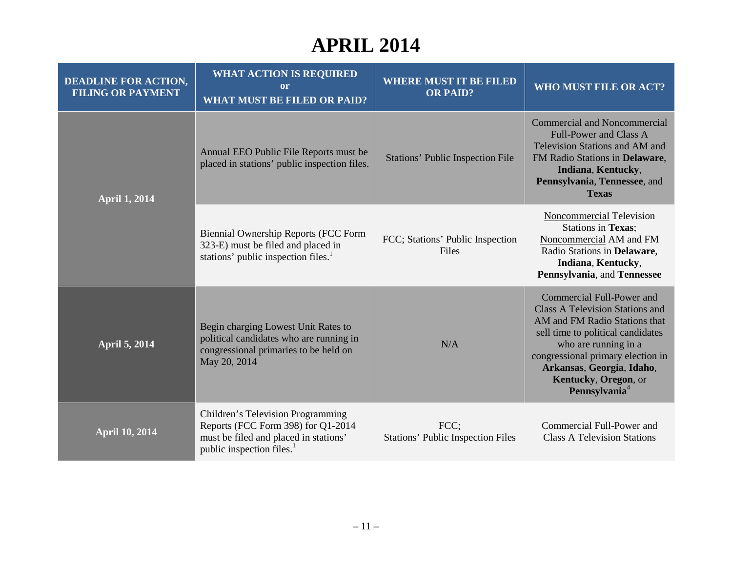| <b>DEADLINE FOR ACTION,</b><br><b>FILING OR PAYMENT</b> | <b>WHAT ACTION IS REQUIRED</b><br><b>or</b><br><b>WHAT MUST BE FILED OR PAID?</b>                                                                         | <b>WHERE MUST IT BE FILED</b><br><b>OR PAID?</b> | WHO MUST FILE OR ACT?                                                                                                                                                                                                                                                                    |
|---------------------------------------------------------|-----------------------------------------------------------------------------------------------------------------------------------------------------------|--------------------------------------------------|------------------------------------------------------------------------------------------------------------------------------------------------------------------------------------------------------------------------------------------------------------------------------------------|
| <b>April 1, 2014</b>                                    | Annual EEO Public File Reports must be<br>placed in stations' public inspection files.                                                                    | <b>Stations' Public Inspection File</b>          | <b>Commercial and Noncommercial</b><br><b>Full-Power and Class A</b><br>Television Stations and AM and<br>FM Radio Stations in Delaware,<br>Indiana, Kentucky,<br>Pennsylvania, Tennessee, and<br><b>Texas</b>                                                                           |
|                                                         | <b>Biennial Ownership Reports (FCC Form</b><br>323-E) must be filed and placed in<br>stations' public inspection files. <sup>1</sup>                      | FCC; Stations' Public Inspection<br>Files        | <b>Noncommercial Television</b><br><b>Stations in Texas:</b><br>Noncommercial AM and FM<br>Radio Stations in Delaware,<br>Indiana, Kentucky,<br>Pennsylvania, and Tennessee                                                                                                              |
| <b>April 5, 2014</b>                                    | Begin charging Lowest Unit Rates to<br>political candidates who are running in<br>congressional primaries to be held on<br>May 20, 2014                   | N/A                                              | Commercial Full-Power and<br><b>Class A Television Stations and</b><br>AM and FM Radio Stations that<br>sell time to political candidates<br>who are running in a<br>congressional primary election in<br>Arkansas, Georgia, Idaho,<br>Kentucky, Oregon, or<br>Pennsylvania <sup>4</sup> |
| <b>April 10, 2014</b>                                   | Children's Television Programming<br>Reports (FCC Form 398) for Q1-2014<br>must be filed and placed in stations'<br>public inspection files. <sup>1</sup> | FCC;<br><b>Stations' Public Inspection Files</b> | Commercial Full-Power and<br><b>Class A Television Stations</b>                                                                                                                                                                                                                          |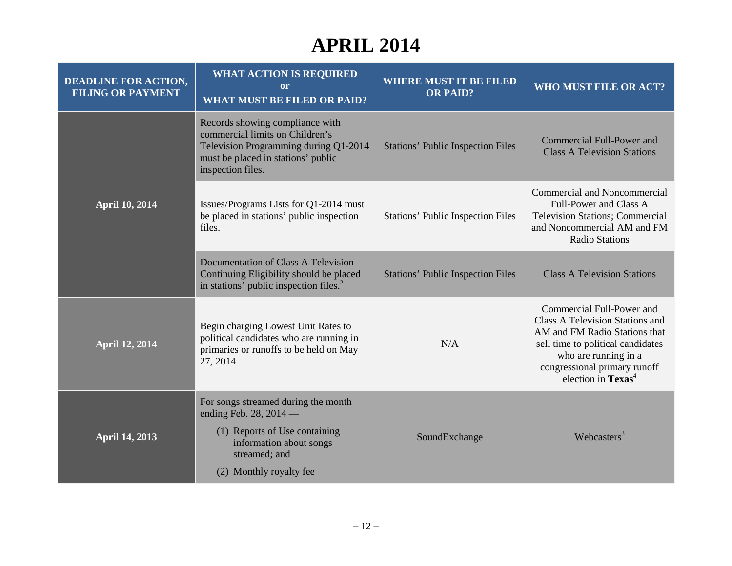| <b>DEADLINE FOR ACTION,</b><br><b>FILING OR PAYMENT</b> | <b>WHAT ACTION IS REQUIRED</b><br><sub>or</sub><br><b>WHAT MUST BE FILED OR PAID?</b>                                                                                  | <b>WHERE MUST IT BE FILED</b><br><b>OR PAID?</b> | <b>WHO MUST FILE OR ACT?</b>                                                                                                                                                                                                    |
|---------------------------------------------------------|------------------------------------------------------------------------------------------------------------------------------------------------------------------------|--------------------------------------------------|---------------------------------------------------------------------------------------------------------------------------------------------------------------------------------------------------------------------------------|
| <b>April 10, 2014</b>                                   | Records showing compliance with<br>commercial limits on Children's<br>Television Programming during Q1-2014<br>must be placed in stations' public<br>inspection files. | <b>Stations' Public Inspection Files</b>         | Commercial Full-Power and<br><b>Class A Television Stations</b>                                                                                                                                                                 |
|                                                         | Issues/Programs Lists for Q1-2014 must<br>be placed in stations' public inspection<br>files.                                                                           | <b>Stations' Public Inspection Files</b>         | Commercial and Noncommercial<br>Full-Power and Class A<br><b>Television Stations; Commercial</b><br>and Noncommercial AM and FM<br><b>Radio Stations</b>                                                                        |
|                                                         | Documentation of Class A Television<br>Continuing Eligibility should be placed<br>in stations' public inspection files. <sup>2</sup>                                   | <b>Stations' Public Inspection Files</b>         | <b>Class A Television Stations</b>                                                                                                                                                                                              |
| <b>April 12, 2014</b>                                   | Begin charging Lowest Unit Rates to<br>political candidates who are running in<br>primaries or runoffs to be held on May<br>27, 2014                                   | N/A                                              | Commercial Full-Power and<br>Class A Television Stations and<br>AM and FM Radio Stations that<br>sell time to political candidates<br>who are running in a<br>congressional primary runoff<br>election in $T$ exas <sup>4</sup> |
| <b>April 14, 2013</b>                                   | For songs streamed during the month<br>ending Feb. 28, 2014 -<br>(1) Reports of Use containing<br>information about songs<br>streamed; and<br>(2) Monthly royalty fee  | SoundExchange                                    | Webcasters $3$                                                                                                                                                                                                                  |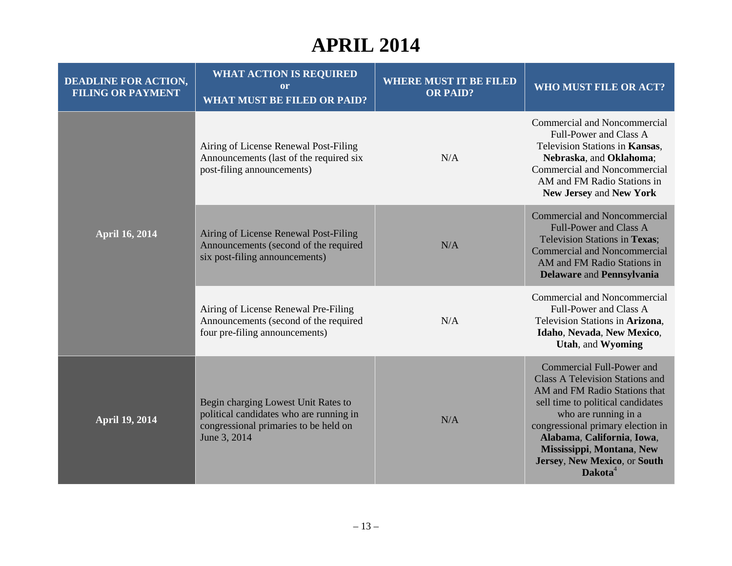| <b>DEADLINE FOR ACTION,</b><br><b>FILING OR PAYMENT</b> | <b>WHAT ACTION IS REQUIRED</b><br>or<br><b>WHAT MUST BE FILED OR PAID?</b>                                                              | <b>WHERE MUST IT BE FILED</b><br><b>OR PAID?</b> | <b>WHO MUST FILE OR ACT?</b>                                                                                                                                                                                                                                                                                                    |
|---------------------------------------------------------|-----------------------------------------------------------------------------------------------------------------------------------------|--------------------------------------------------|---------------------------------------------------------------------------------------------------------------------------------------------------------------------------------------------------------------------------------------------------------------------------------------------------------------------------------|
| <b>April 16, 2014</b>                                   | Airing of License Renewal Post-Filing<br>Announcements (last of the required six<br>post-filing announcements)                          | N/A                                              | Commercial and Noncommercial<br>Full-Power and Class A<br>Television Stations in Kansas.<br>Nebraska, and Oklahoma;<br><b>Commercial and Noncommercial</b><br>AM and FM Radio Stations in<br>New Jersey and New York                                                                                                            |
|                                                         | Airing of License Renewal Post-Filing<br>Announcements (second of the required<br>six post-filing announcements)                        | N/A                                              | <b>Commercial and Noncommercial</b><br><b>Full-Power and Class A</b><br>Television Stations in Texas;<br><b>Commercial and Noncommercial</b><br>AM and FM Radio Stations in<br><b>Delaware and Pennsylvania</b>                                                                                                                 |
|                                                         | Airing of License Renewal Pre-Filing<br>Announcements (second of the required<br>four pre-filing announcements)                         | N/A                                              | Commercial and Noncommercial<br>Full-Power and Class A<br>Television Stations in Arizona,<br>Idaho, Nevada, New Mexico,<br>Utah, and Wyoming                                                                                                                                                                                    |
| <b>April 19, 2014</b>                                   | Begin charging Lowest Unit Rates to<br>political candidates who are running in<br>congressional primaries to be held on<br>June 3, 2014 | N/A                                              | <b>Commercial Full-Power and</b><br><b>Class A Television Stations and</b><br>AM and FM Radio Stations that<br>sell time to political candidates<br>who are running in a<br>congressional primary election in<br>Alabama, California, Iowa,<br>Mississippi, Montana, New<br>Jersey, New Mexico, or South<br>Dakota <sup>4</sup> |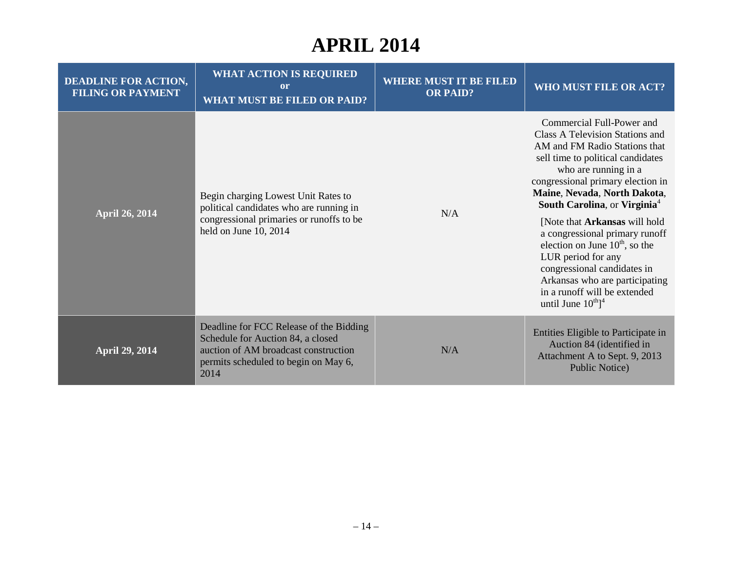| <b>DEADLINE FOR ACTION,</b><br><b>FILING OR PAYMENT</b> | <b>WHAT ACTION IS REQUIRED</b><br>or<br><b>WHAT MUST BE FILED OR PAID?</b>                                                                                           | <b>WHERE MUST IT BE FILED</b><br><b>OR PAID?</b> | WHO MUST FILE OR ACT?                                                                                                                                                                                                                                                                                                                                                                                                                                                                                                                                    |
|---------------------------------------------------------|----------------------------------------------------------------------------------------------------------------------------------------------------------------------|--------------------------------------------------|----------------------------------------------------------------------------------------------------------------------------------------------------------------------------------------------------------------------------------------------------------------------------------------------------------------------------------------------------------------------------------------------------------------------------------------------------------------------------------------------------------------------------------------------------------|
| <b>April 26, 2014</b>                                   | Begin charging Lowest Unit Rates to<br>political candidates who are running in<br>congressional primaries or runoffs to be<br>held on June 10, 2014                  | N/A                                              | Commercial Full-Power and<br>Class A Television Stations and<br>AM and FM Radio Stations that<br>sell time to political candidates<br>who are running in a<br>congressional primary election in<br>Maine, Nevada, North Dakota,<br>South Carolina, or Virginia <sup>4</sup><br>[Note that <b>Arkansas</b> will hold<br>a congressional primary runoff<br>election on June $10^{th}$ , so the<br>LUR period for any<br>congressional candidates in<br>Arkansas who are participating<br>in a runoff will be extended<br>until June $10^{th}$ <sup>1</sup> |
| <b>April 29, 2014</b>                                   | Deadline for FCC Release of the Bidding<br>Schedule for Auction 84, a closed<br>auction of AM broadcast construction<br>permits scheduled to begin on May 6,<br>2014 | N/A                                              | Entities Eligible to Participate in<br>Auction 84 (identified in<br>Attachment A to Sept. 9, 2013<br><b>Public Notice</b> )                                                                                                                                                                                                                                                                                                                                                                                                                              |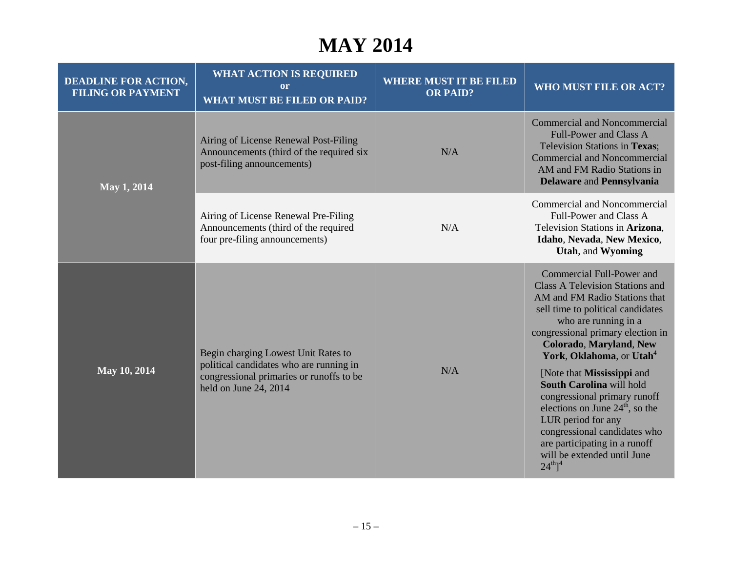# **MAY 2014**

| <b>DEADLINE FOR ACTION,</b><br><b>FILING OR PAYMENT</b> | <b>WHAT ACTION IS REQUIRED</b><br>or<br><b>WHAT MUST BE FILED OR PAID?</b>                                                                          | <b>WHERE MUST IT BE FILED</b><br><b>OR PAID?</b> | WHO MUST FILE OR ACT?                                                                                                                                                                                                                                                                                                                                                                                                                                                                                                                                           |
|---------------------------------------------------------|-----------------------------------------------------------------------------------------------------------------------------------------------------|--------------------------------------------------|-----------------------------------------------------------------------------------------------------------------------------------------------------------------------------------------------------------------------------------------------------------------------------------------------------------------------------------------------------------------------------------------------------------------------------------------------------------------------------------------------------------------------------------------------------------------|
| May 1, 2014                                             | Airing of License Renewal Post-Filing<br>Announcements (third of the required six<br>post-filing announcements)                                     | N/A                                              | <b>Commercial and Noncommercial</b><br><b>Full-Power and Class A</b><br><b>Television Stations in Texas:</b><br><b>Commercial and Noncommercial</b><br>AM and FM Radio Stations in<br><b>Delaware and Pennsylvania</b>                                                                                                                                                                                                                                                                                                                                          |
|                                                         | Airing of License Renewal Pre-Filing<br>Announcements (third of the required<br>four pre-filing announcements)                                      | N/A                                              | Commercial and Noncommercial<br>Full-Power and Class A<br>Television Stations in Arizona,<br>Idaho, Nevada, New Mexico,<br>Utah, and Wyoming                                                                                                                                                                                                                                                                                                                                                                                                                    |
| May 10, 2014                                            | Begin charging Lowest Unit Rates to<br>political candidates who are running in<br>congressional primaries or runoffs to be<br>held on June 24, 2014 | N/A                                              | Commercial Full-Power and<br><b>Class A Television Stations and</b><br>AM and FM Radio Stations that<br>sell time to political candidates<br>who are running in a<br>congressional primary election in<br><b>Colorado, Maryland, New</b><br>York, Oklahoma, or Utah <sup>4</sup><br>[Note that Mississippi and<br>South Carolina will hold<br>congressional primary runoff<br>elections on June $24th$ , so the<br>LUR period for any<br>congressional candidates who<br>are participating in a runoff<br>will be extended until June<br>$24^{th}$ <sup>1</sup> |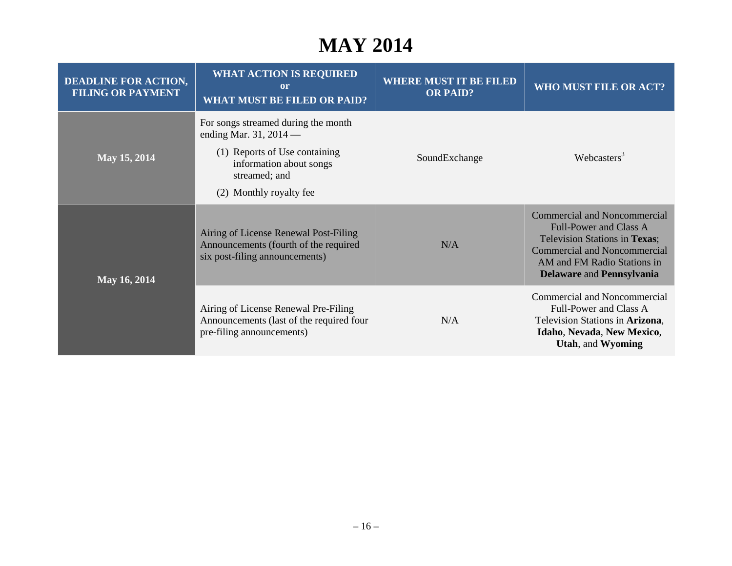# **MAY 2014**

| <b>DEADLINE FOR ACTION,</b><br><b>FILING OR PAYMENT</b> | <b>WHAT ACTION IS REQUIRED</b><br>or<br><b>WHAT MUST BE FILED OR PAID?</b>                                                                                            | <b>WHERE MUST IT BE FILED</b><br><b>OR PAID?</b> | WHO MUST FILE OR ACT?                                                                                                                                                                                           |
|---------------------------------------------------------|-----------------------------------------------------------------------------------------------------------------------------------------------------------------------|--------------------------------------------------|-----------------------------------------------------------------------------------------------------------------------------------------------------------------------------------------------------------------|
| May 15, 2014                                            | For songs streamed during the month<br>ending Mar. 31, 2014 —<br>(1) Reports of Use containing<br>information about songs<br>streamed; and<br>(2) Monthly royalty fee | SoundExchange                                    | Webcasters $3$                                                                                                                                                                                                  |
| May 16, 2014                                            | Airing of License Renewal Post-Filing<br>Announcements (fourth of the required<br>six post-filing announcements)                                                      | N/A                                              | <b>Commercial and Noncommercial</b><br><b>Full-Power and Class A</b><br>Television Stations in Texas;<br><b>Commercial and Noncommercial</b><br>AM and FM Radio Stations in<br><b>Delaware and Pennsylvania</b> |
|                                                         | Airing of License Renewal Pre-Filing<br>Announcements (last of the required four<br>pre-filing announcements)                                                         | N/A                                              | <b>Commercial and Noncommercial</b><br>Full-Power and Class A<br>Television Stations in Arizona,<br>Idaho, Nevada, New Mexico,<br>Utah, and Wyoming                                                             |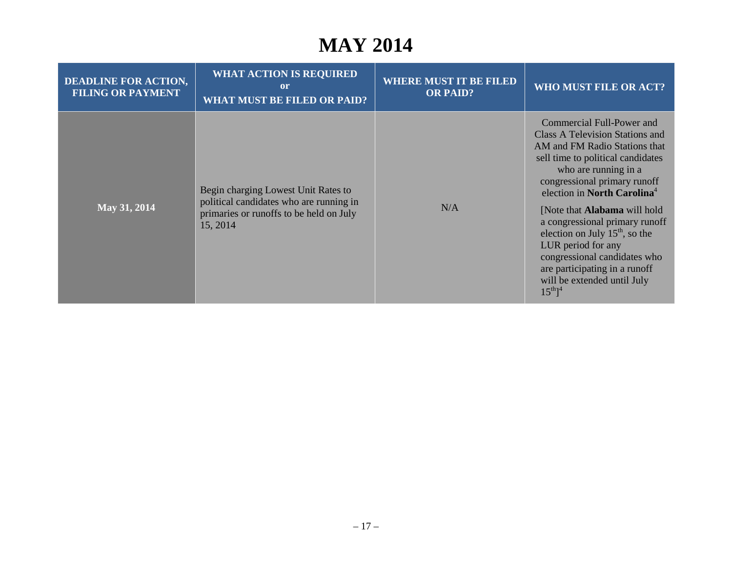# **MAY 2014**

| <b>DEADLINE FOR ACTION,</b><br><b>FILING OR PAYMENT</b> | <b>WHAT ACTION IS REQUIRED</b><br>or<br><b>WHAT MUST BE FILED OR PAID?</b>                                                            | <b>WHERE MUST IT BE FILED</b><br><b>OR PAID?</b> | WHO MUST FILE OR ACT?                                                                                                                                                                                                                                                                                                                                                                                                                                                                                |
|---------------------------------------------------------|---------------------------------------------------------------------------------------------------------------------------------------|--------------------------------------------------|------------------------------------------------------------------------------------------------------------------------------------------------------------------------------------------------------------------------------------------------------------------------------------------------------------------------------------------------------------------------------------------------------------------------------------------------------------------------------------------------------|
| May 31, 2014                                            | Begin charging Lowest Unit Rates to<br>political candidates who are running in<br>primaries or runoffs to be held on July<br>15, 2014 | N/A                                              | Commercial Full-Power and<br>Class A Television Stations and<br>AM and FM Radio Stations that<br>sell time to political candidates<br>who are running in a<br>congressional primary runoff<br>election in North Carolina <sup>4</sup><br>[Note that <b>Alabama</b> will hold<br>a congressional primary runoff<br>election on July $15th$ , so the<br>LUR period for any<br>congressional candidates who<br>are participating in a runoff<br>will be extended until July<br>$15^{th}$ ] <sup>4</sup> |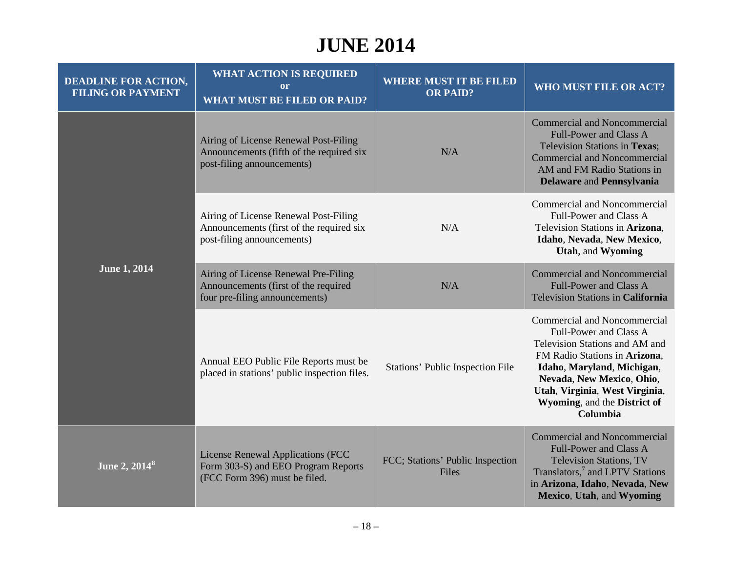| <b>DEADLINE FOR ACTION,</b><br><b>FILING OR PAYMENT</b> | <b>WHAT ACTION IS REQUIRED</b><br><sub>or</sub><br><b>WHAT MUST BE FILED OR PAID?</b>                           | <b>WHERE MUST IT BE FILED</b><br><b>OR PAID?</b> | WHO MUST FILE OR ACT?                                                                                                                                                                                                                                                     |
|---------------------------------------------------------|-----------------------------------------------------------------------------------------------------------------|--------------------------------------------------|---------------------------------------------------------------------------------------------------------------------------------------------------------------------------------------------------------------------------------------------------------------------------|
| <b>June 1, 2014</b>                                     | Airing of License Renewal Post-Filing<br>Announcements (fifth of the required six<br>post-filing announcements) | N/A                                              | Commercial and Noncommercial<br><b>Full-Power and Class A</b><br>Television Stations in Texas;<br><b>Commercial and Noncommercial</b><br>AM and FM Radio Stations in<br><b>Delaware and Pennsylvania</b>                                                                  |
|                                                         | Airing of License Renewal Post-Filing<br>Announcements (first of the required six<br>post-filing announcements) | N/A                                              | <b>Commercial and Noncommercial</b><br>Full-Power and Class A<br>Television Stations in Arizona,<br>Idaho, Nevada, New Mexico,<br>Utah, and Wyoming                                                                                                                       |
|                                                         | Airing of License Renewal Pre-Filing<br>Announcements (first of the required<br>four pre-filing announcements)  | N/A                                              | Commercial and Noncommercial<br><b>Full-Power and Class A</b><br>Television Stations in California                                                                                                                                                                        |
|                                                         | Annual EEO Public File Reports must be<br>placed in stations' public inspection files.                          | Stations' Public Inspection File                 | <b>Commercial and Noncommercial</b><br>Full-Power and Class A<br>Television Stations and AM and<br>FM Radio Stations in Arizona,<br>Idaho, Maryland, Michigan,<br>Nevada, New Mexico, Ohio,<br>Utah, Virginia, West Virginia,<br>Wyoming, and the District of<br>Columbia |
| June 2, 2014 <sup>8</sup>                               | License Renewal Applications (FCC<br>Form 303-S) and EEO Program Reports<br>(FCC Form 396) must be filed.       | FCC; Stations' Public Inspection<br>Files        | <b>Commercial and Noncommercial</b><br><b>Full-Power and Class A</b><br><b>Television Stations, TV</b><br>Translators, <sup>7</sup> and LPTV Stations<br>in Arizona, Idaho, Nevada, New<br>Mexico, Utah, and Wyoming                                                      |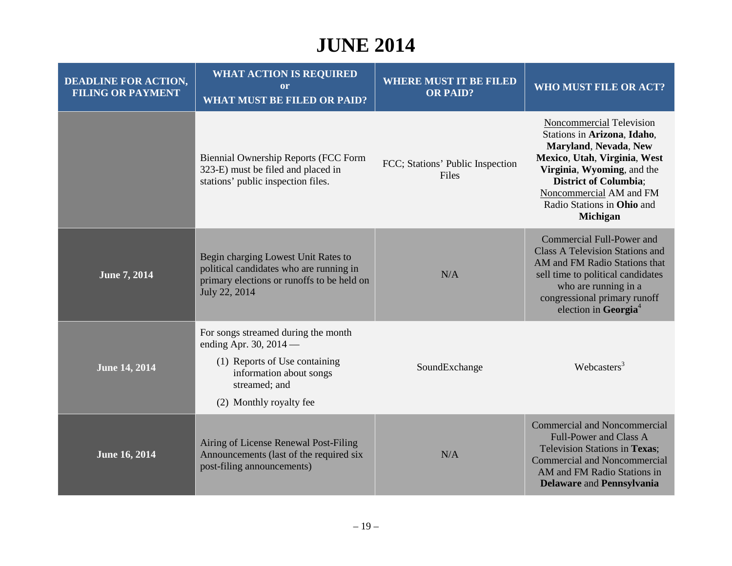| <b>DEADLINE FOR ACTION,</b><br><b>FILING OR PAYMENT</b> | <b>WHAT ACTION IS REQUIRED</b><br>or<br><b>WHAT MUST BE FILED OR PAID?</b>                                                                                              | <b>WHERE MUST IT BE FILED</b><br><b>OR PAID?</b> | <b>WHO MUST FILE OR ACT?</b>                                                                                                                                                                                                                               |
|---------------------------------------------------------|-------------------------------------------------------------------------------------------------------------------------------------------------------------------------|--------------------------------------------------|------------------------------------------------------------------------------------------------------------------------------------------------------------------------------------------------------------------------------------------------------------|
|                                                         | <b>Biennial Ownership Reports (FCC Form</b><br>323-E) must be filed and placed in<br>stations' public inspection files.                                                 | FCC; Stations' Public Inspection<br>Files        | Noncommercial Television<br>Stations in Arizona, Idaho,<br>Maryland, Nevada, New<br>Mexico, Utah, Virginia, West<br>Virginia, Wyoming, and the<br><b>District of Columbia;</b><br>Noncommercial AM and FM<br>Radio Stations in Ohio and<br><b>Michigan</b> |
| June 7, 2014                                            | Begin charging Lowest Unit Rates to<br>political candidates who are running in<br>primary elections or runoffs to be held on<br>July 22, 2014                           | N/A                                              | <b>Commercial Full-Power and</b><br><b>Class A Television Stations and</b><br>AM and FM Radio Stations that<br>sell time to political candidates<br>who are running in a<br>congressional primary runoff<br>election in Georgia <sup>4</sup>               |
| <b>June 14, 2014</b>                                    | For songs streamed during the month<br>ending Apr. 30, $2014$ —<br>(1) Reports of Use containing<br>information about songs<br>streamed; and<br>(2) Monthly royalty fee | SoundExchange                                    | Webcasters <sup>3</sup>                                                                                                                                                                                                                                    |
| June 16, 2014                                           | Airing of License Renewal Post-Filing<br>Announcements (last of the required six<br>post-filing announcements)                                                          | N/A                                              | <b>Commercial and Noncommercial</b><br><b>Full-Power and Class A</b><br>Television Stations in Texas:<br><b>Commercial and Noncommercial</b><br>AM and FM Radio Stations in<br>Delaware and Pennsylvania                                                   |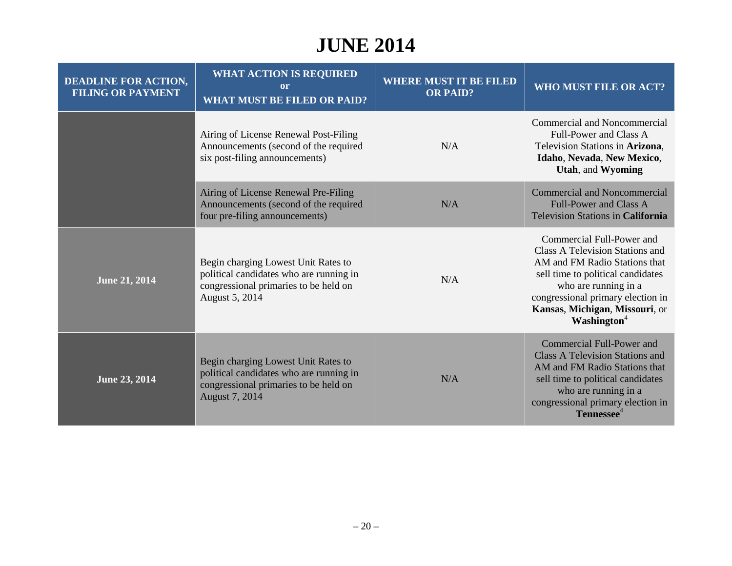| <b>DEADLINE FOR ACTION,</b><br><b>FILING OR PAYMENT</b> | <b>WHAT ACTION IS REQUIRED</b><br>or<br><b>WHAT MUST BE FILED OR PAID?</b>                                                                | <b>WHERE MUST IT BE FILED</b><br><b>OR PAID?</b> | WHO MUST FILE OR ACT?                                                                                                                                                                                                                                               |
|---------------------------------------------------------|-------------------------------------------------------------------------------------------------------------------------------------------|--------------------------------------------------|---------------------------------------------------------------------------------------------------------------------------------------------------------------------------------------------------------------------------------------------------------------------|
|                                                         | Airing of License Renewal Post-Filing<br>Announcements (second of the required<br>six post-filing announcements)                          | N/A                                              | Commercial and Noncommercial<br>Full-Power and Class A<br>Television Stations in Arizona,<br>Idaho, Nevada, New Mexico,<br><b>Utah, and Wyoming</b>                                                                                                                 |
|                                                         | Airing of License Renewal Pre-Filing<br>Announcements (second of the required<br>four pre-filing announcements)                           | N/A                                              | <b>Commercial and Noncommercial</b><br><b>Full-Power and Class A</b><br><b>Television Stations in California</b>                                                                                                                                                    |
| <b>June 21, 2014</b>                                    | Begin charging Lowest Unit Rates to<br>political candidates who are running in<br>congressional primaries to be held on<br>August 5, 2014 | N/A                                              | Commercial Full-Power and<br>Class A Television Stations and<br>AM and FM Radio Stations that<br>sell time to political candidates<br>who are running in a<br>congressional primary election in<br>Kansas, Michigan, Missouri, or<br><b>Washington</b> <sup>4</sup> |
| June 23, 2014                                           | Begin charging Lowest Unit Rates to<br>political candidates who are running in<br>congressional primaries to be held on<br>August 7, 2014 | N/A                                              | <b>Commercial Full-Power and</b><br><b>Class A Television Stations and</b><br>AM and FM Radio Stations that<br>sell time to political candidates<br>who are running in a<br>congressional primary election in<br>Tennessee <sup>4</sup>                             |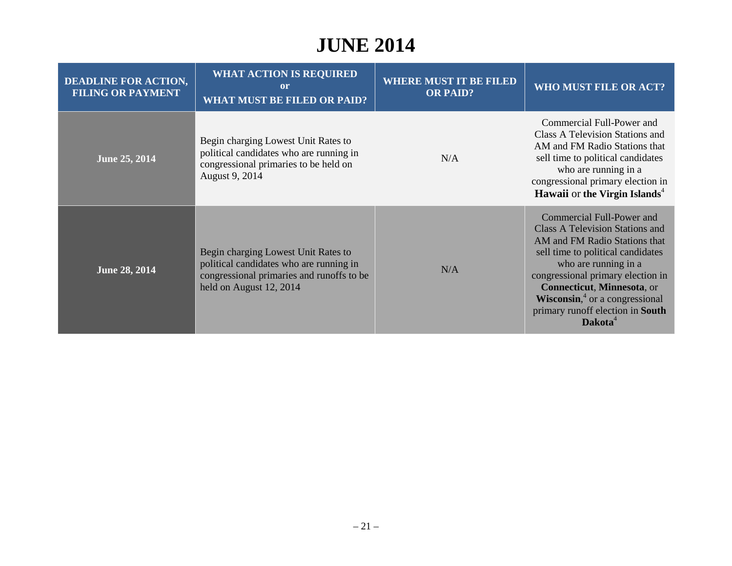| <b>DEADLINE FOR ACTION,</b><br><b>FILING OR PAYMENT</b> | <b>WHAT ACTION IS REQUIRED</b><br><sub>or</sub><br><b>WHAT MUST BE FILED OR PAID?</b>                                                                  | <b>WHERE MUST IT BE FILED</b><br><b>OR PAID?</b> | WHO MUST FILE OR ACT?                                                                                                                                                                                                                                                                                                                      |
|---------------------------------------------------------|--------------------------------------------------------------------------------------------------------------------------------------------------------|--------------------------------------------------|--------------------------------------------------------------------------------------------------------------------------------------------------------------------------------------------------------------------------------------------------------------------------------------------------------------------------------------------|
| June 25, 2014                                           | Begin charging Lowest Unit Rates to<br>political candidates who are running in<br>congressional primaries to be held on<br>August 9, 2014              | N/A                                              | Commercial Full-Power and<br>Class A Television Stations and<br>AM and FM Radio Stations that<br>sell time to political candidates<br>who are running in a<br>congressional primary election in<br>Hawaii or the Virgin Islands <sup>4</sup>                                                                                               |
| <b>June 28, 2014</b>                                    | Begin charging Lowest Unit Rates to<br>political candidates who are running in<br>congressional primaries and runoffs to be<br>held on August 12, 2014 | N/A                                              | Commercial Full-Power and<br>Class A Television Stations and<br>AM and FM Radio Stations that<br>sell time to political candidates<br>who are running in a<br>congressional primary election in<br>Connecticut, Minnesota, or<br><b>Wisconsin</b> , $\alpha$ or a congressional<br>primary runoff election in South<br>Dakota <sup>4</sup> |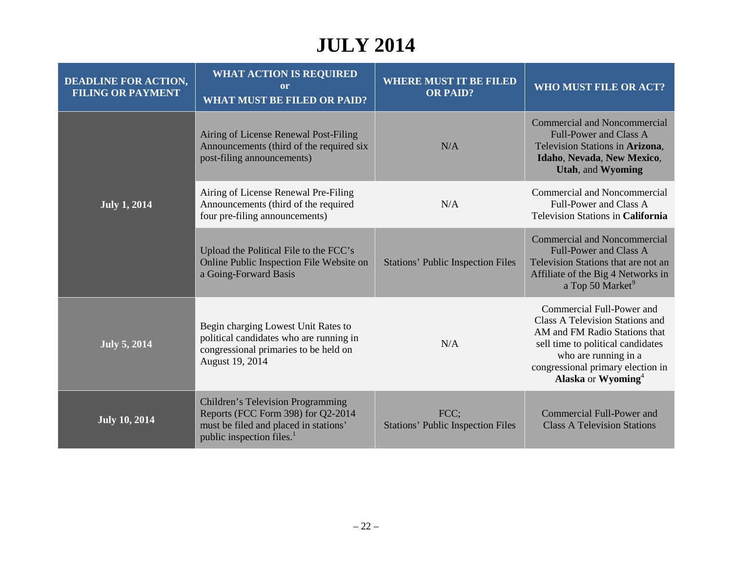# **JULY 2014**

| <b>DEADLINE FOR ACTION,</b><br><b>FILING OR PAYMENT</b> | <b>WHAT ACTION IS REQUIRED</b><br>or<br><b>WHAT MUST BE FILED OR PAID?</b>                                                                                       | <b>WHERE MUST IT BE FILED</b><br><b>OR PAID?</b> | WHO MUST FILE OR ACT?                                                                                                                                                                                                             |
|---------------------------------------------------------|------------------------------------------------------------------------------------------------------------------------------------------------------------------|--------------------------------------------------|-----------------------------------------------------------------------------------------------------------------------------------------------------------------------------------------------------------------------------------|
| <b>July 1, 2014</b>                                     | Airing of License Renewal Post-Filing<br>Announcements (third of the required six<br>post-filing announcements)                                                  | N/A                                              | <b>Commercial and Noncommercial</b><br>Full-Power and Class A<br>Television Stations in Arizona,<br>Idaho, Nevada, New Mexico,<br><b>Utah, and Wyoming</b>                                                                        |
|                                                         | Airing of License Renewal Pre-Filing<br>Announcements (third of the required<br>four pre-filing announcements)                                                   | N/A                                              | <b>Commercial and Noncommercial</b><br>Full-Power and Class A<br>Television Stations in California                                                                                                                                |
|                                                         | Upload the Political File to the FCC's<br>Online Public Inspection File Website on<br>a Going-Forward Basis                                                      | <b>Stations' Public Inspection Files</b>         | <b>Commercial and Noncommercial</b><br><b>Full-Power and Class A</b><br>Television Stations that are not an<br>Affiliate of the Big 4 Networks in<br>a Top 50 Market <sup>9</sup>                                                 |
| <b>July 5, 2014</b>                                     | Begin charging Lowest Unit Rates to<br>political candidates who are running in<br>congressional primaries to be held on<br>August 19, 2014                       | N/A                                              | Commercial Full-Power and<br>Class A Television Stations and<br>AM and FM Radio Stations that<br>sell time to political candidates<br>who are running in a<br>congressional primary election in<br>Alaska or Wyoming <sup>4</sup> |
| <b>July 10, 2014</b>                                    | <b>Children's Television Programming</b><br>Reports (FCC Form 398) for Q2-2014<br>must be filed and placed in stations'<br>public inspection files. <sup>1</sup> | FCC;<br><b>Stations' Public Inspection Files</b> | <b>Commercial Full-Power and</b><br><b>Class A Television Stations</b>                                                                                                                                                            |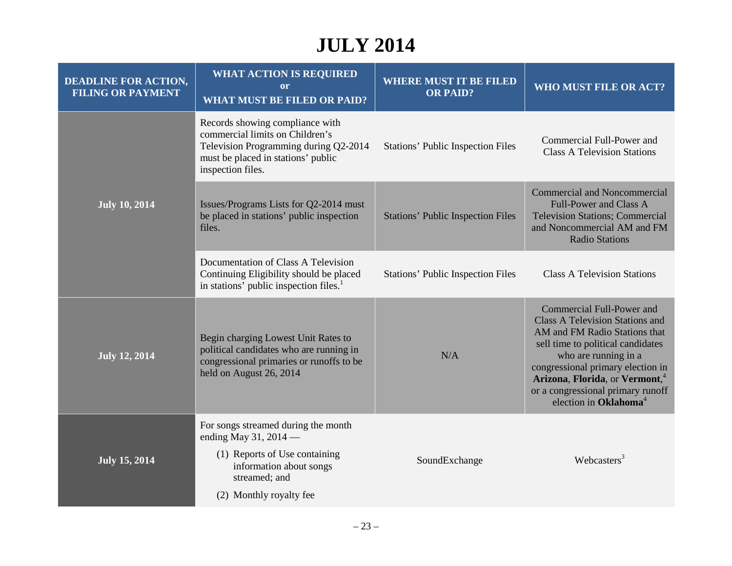# **JULY 2014**

| <b>DEADLINE FOR ACTION,</b><br><b>FILING OR PAYMENT</b> | <b>WHAT ACTION IS REQUIRED</b><br><b>or</b><br><b>WHAT MUST BE FILED OR PAID?</b>                                                                                      | <b>WHERE MUST IT BE FILED</b><br><b>OR PAID?</b> | WHO MUST FILE OR ACT?                                                                                                                                                                                                                                                                                                          |
|---------------------------------------------------------|------------------------------------------------------------------------------------------------------------------------------------------------------------------------|--------------------------------------------------|--------------------------------------------------------------------------------------------------------------------------------------------------------------------------------------------------------------------------------------------------------------------------------------------------------------------------------|
| <b>July 10, 2014</b>                                    | Records showing compliance with<br>commercial limits on Children's<br>Television Programming during Q2-2014<br>must be placed in stations' public<br>inspection files. | <b>Stations' Public Inspection Files</b>         | Commercial Full-Power and<br><b>Class A Television Stations</b>                                                                                                                                                                                                                                                                |
|                                                         | Issues/Programs Lists for Q2-2014 must<br>be placed in stations' public inspection<br>files.                                                                           | <b>Stations' Public Inspection Files</b>         | <b>Commercial and Noncommercial</b><br>Full-Power and Class A<br><b>Television Stations; Commercial</b><br>and Noncommercial AM and FM<br><b>Radio Stations</b>                                                                                                                                                                |
|                                                         | Documentation of Class A Television<br>Continuing Eligibility should be placed<br>in stations' public inspection files. <sup>1</sup>                                   | Stations' Public Inspection Files                | <b>Class A Television Stations</b>                                                                                                                                                                                                                                                                                             |
| <b>July 12, 2014</b>                                    | Begin charging Lowest Unit Rates to<br>political candidates who are running in<br>congressional primaries or runoffs to be<br>held on August 26, 2014                  | N/A                                              | Commercial Full-Power and<br><b>Class A Television Stations and</b><br>AM and FM Radio Stations that<br>sell time to political candidates<br>who are running in a<br>congressional primary election in<br>Arizona, Florida, or Vermont, <sup>4</sup><br>or a congressional primary runoff<br>election in Oklahoma <sup>4</sup> |
| <b>July 15, 2014</b>                                    | For songs streamed during the month<br>ending May 31, 2014 -<br>(1) Reports of Use containing<br>information about songs<br>streamed; and<br>(2) Monthly royalty fee   | SoundExchange                                    | Webcasters <sup>3</sup>                                                                                                                                                                                                                                                                                                        |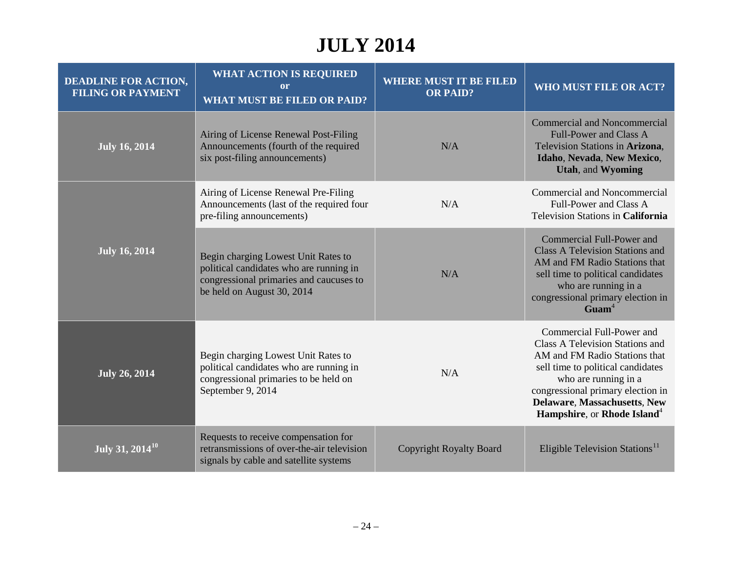# **JULY 2014**

| <b>DEADLINE FOR ACTION,</b><br><b>FILING OR PAYMENT</b> | <b>WHAT ACTION IS REQUIRED</b><br>or<br><b>WHAT MUST BE FILED OR PAID?</b>                                                                              | <b>WHERE MUST IT BE FILED</b><br><b>OR PAID?</b> | <b>WHO MUST FILE OR ACT?</b>                                                                                                                                                                                                                                                      |
|---------------------------------------------------------|---------------------------------------------------------------------------------------------------------------------------------------------------------|--------------------------------------------------|-----------------------------------------------------------------------------------------------------------------------------------------------------------------------------------------------------------------------------------------------------------------------------------|
| <b>July 16, 2014</b>                                    | Airing of License Renewal Post-Filing<br>Announcements (fourth of the required<br>six post-filing announcements)                                        | N/A                                              | <b>Commercial and Noncommercial</b><br><b>Full-Power and Class A</b><br>Television Stations in Arizona,<br>Idaho, Nevada, New Mexico,<br><b>Utah, and Wyoming</b>                                                                                                                 |
| <b>July 16, 2014</b>                                    | Airing of License Renewal Pre-Filing<br>Announcements (last of the required four<br>pre-filing announcements)                                           | N/A                                              | <b>Commercial and Noncommercial</b><br>Full-Power and Class A<br>Television Stations in California                                                                                                                                                                                |
|                                                         | Begin charging Lowest Unit Rates to<br>political candidates who are running in<br>congressional primaries and caucuses to<br>be held on August 30, 2014 | N/A                                              | <b>Commercial Full-Power and</b><br><b>Class A Television Stations and</b><br>AM and FM Radio Stations that<br>sell time to political candidates<br>who are running in a<br>congressional primary election in<br>Guam <sup>4</sup>                                                |
| <b>July 26, 2014</b>                                    | Begin charging Lowest Unit Rates to<br>political candidates who are running in<br>congressional primaries to be held on<br>September 9, 2014            | N/A                                              | Commercial Full-Power and<br>Class A Television Stations and<br>AM and FM Radio Stations that<br>sell time to political candidates<br>who are running in a<br>congressional primary election in<br><b>Delaware, Massachusetts, New</b><br>Hampshire, or Rhode Island <sup>4</sup> |
| $\overline{July 31}$ , 2014 <sup>10</sup>               | Requests to receive compensation for<br>retransmissions of over-the-air television<br>signals by cable and satellite systems                            | <b>Copyright Royalty Board</b>                   | Eligible Television Stations <sup>11</sup>                                                                                                                                                                                                                                        |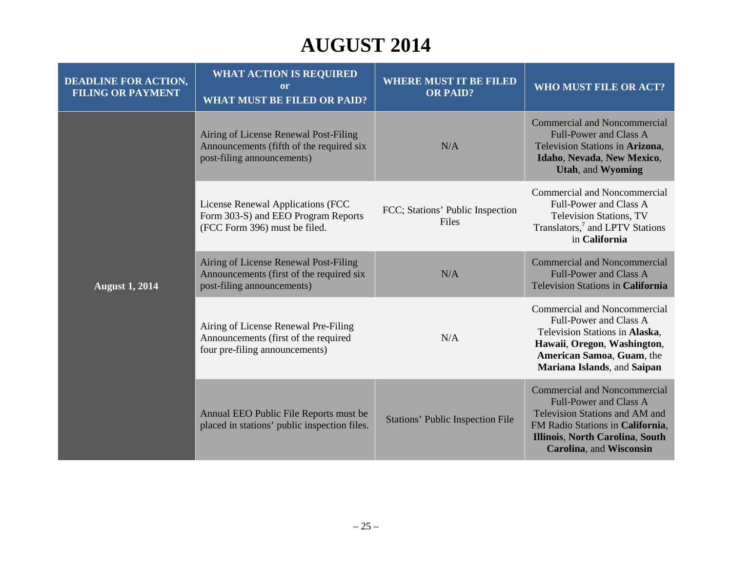# **AUGUST 2014**

| <b>DEADLINE FOR ACTION,</b><br><b>FILING OR PAYMENT</b> | <b>WHAT ACTION IS REQUIRED</b><br><sub>or</sub><br><b>WHAT MUST BE FILED OR PAID?</b>                           | <b>WHERE MUST IT BE FILED</b><br><b>OR PAID?</b> | WHO MUST FILE OR ACT?                                                                                                                                                                                    |
|---------------------------------------------------------|-----------------------------------------------------------------------------------------------------------------|--------------------------------------------------|----------------------------------------------------------------------------------------------------------------------------------------------------------------------------------------------------------|
| <b>August 1, 2014</b>                                   | Airing of License Renewal Post-Filing<br>Announcements (fifth of the required six<br>post-filing announcements) | N/A                                              | <b>Commercial and Noncommercial</b><br><b>Full-Power and Class A</b><br>Television Stations in Arizona,<br>Idaho, Nevada, New Mexico,<br><b>Utah, and Wyoming</b>                                        |
|                                                         | License Renewal Applications (FCC<br>Form 303-S) and EEO Program Reports<br>(FCC Form 396) must be filed.       | FCC; Stations' Public Inspection<br>Files        | <b>Commercial and Noncommercial</b><br>Full-Power and Class A<br><b>Television Stations, TV</b><br>Translators, <sup>7</sup> and LPTV Stations<br>in California                                          |
|                                                         | Airing of License Renewal Post-Filing<br>Announcements (first of the required six<br>post-filing announcements) | N/A                                              | <b>Commercial and Noncommercial</b><br><b>Full-Power and Class A</b><br>Television Stations in California                                                                                                |
|                                                         | Airing of License Renewal Pre-Filing<br>Announcements (first of the required<br>four pre-filing announcements)  | N/A                                              | Commercial and Noncommercial<br>Full-Power and Class A<br>Television Stations in Alaska,<br>Hawaii, Oregon, Washington,<br>American Samoa, Guam, the<br>Mariana Islands, and Saipan                      |
|                                                         | Annual EEO Public File Reports must be<br>placed in stations' public inspection files.                          | <b>Stations' Public Inspection File</b>          | <b>Commercial and Noncommercial</b><br><b>Full-Power and Class A</b><br>Television Stations and AM and<br>FM Radio Stations in California,<br>Illinois, North Carolina, South<br>Carolina, and Wisconsin |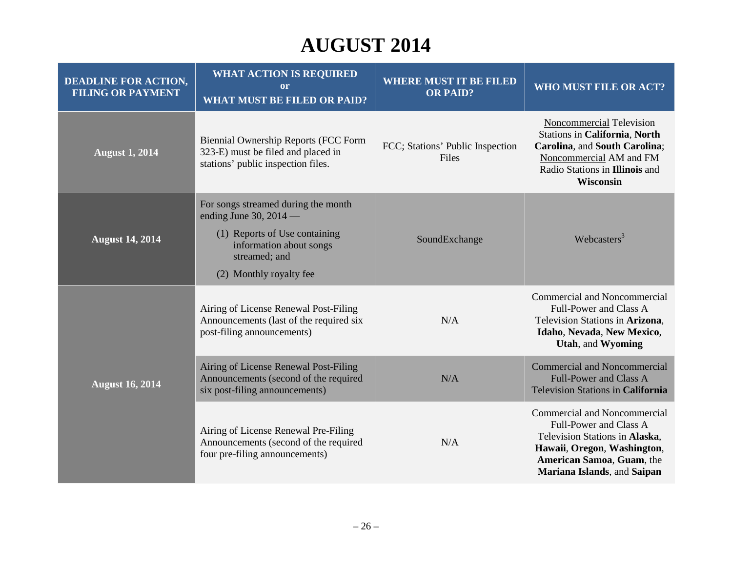# **AUGUST 2014**

| <b>DEADLINE FOR ACTION,</b><br><b>FILING OR PAYMENT</b> | <b>WHAT ACTION IS REQUIRED</b><br><sub>or</sub><br><b>WHAT MUST BE FILED OR PAID?</b>                                                                                   | <b>WHERE MUST IT BE FILED</b><br><b>OR PAID?</b> | WHO MUST FILE OR ACT?                                                                                                                                                               |
|---------------------------------------------------------|-------------------------------------------------------------------------------------------------------------------------------------------------------------------------|--------------------------------------------------|-------------------------------------------------------------------------------------------------------------------------------------------------------------------------------------|
| <b>August 1, 2014</b>                                   | <b>Biennial Ownership Reports (FCC Form</b><br>323-E) must be filed and placed in<br>stations' public inspection files.                                                 | FCC; Stations' Public Inspection<br>Files        | Noncommercial Television<br><b>Stations in California, North</b><br>Carolina, and South Carolina;<br>Noncommercial AM and FM<br>Radio Stations in Illinois and<br>Wisconsin         |
| <b>August 14, 2014</b>                                  | For songs streamed during the month<br>ending June 30, $2014$ —<br>(1) Reports of Use containing<br>information about songs<br>streamed; and<br>(2) Monthly royalty fee | SoundExchange                                    | Webcasters <sup>3</sup>                                                                                                                                                             |
| <b>August 16, 2014</b>                                  | Airing of License Renewal Post-Filing<br>Announcements (last of the required six<br>post-filing announcements)                                                          | N/A                                              | Commercial and Noncommercial<br>Full-Power and Class A<br>Television Stations in Arizona,<br>Idaho, Nevada, New Mexico,<br>Utah, and Wyoming                                        |
|                                                         | Airing of License Renewal Post-Filing<br>Announcements (second of the required<br>six post-filing announcements)                                                        | N/A                                              | <b>Commercial and Noncommercial</b><br><b>Full-Power and Class A</b><br>Television Stations in California                                                                           |
|                                                         | Airing of License Renewal Pre-Filing<br>Announcements (second of the required<br>four pre-filing announcements)                                                         | N/A                                              | Commercial and Noncommercial<br>Full-Power and Class A<br>Television Stations in Alaska,<br>Hawaii, Oregon, Washington,<br>American Samoa, Guam, the<br>Mariana Islands, and Saipan |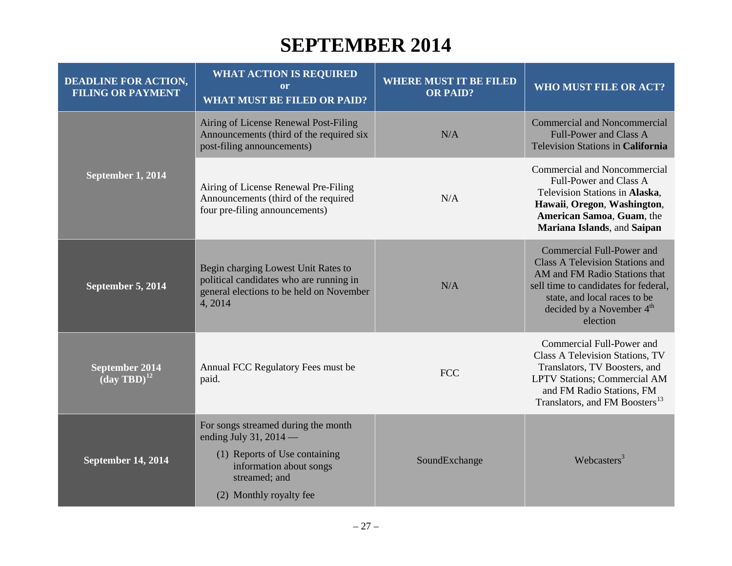#### **SEPTEMBER 2014**

| <b>DEADLINE FOR ACTION,</b><br><b>FILING OR PAYMENT</b> | <b>WHAT ACTION IS REQUIRED</b><br>$\mathbf{or}$<br><b>WHAT MUST BE FILED OR PAID?</b>                                                                                   | <b>WHERE MUST IT BE FILED</b><br><b>OR PAID?</b> | WHO MUST FILE OR ACT?                                                                                                                                                                                                             |
|---------------------------------------------------------|-------------------------------------------------------------------------------------------------------------------------------------------------------------------------|--------------------------------------------------|-----------------------------------------------------------------------------------------------------------------------------------------------------------------------------------------------------------------------------------|
| September 1, 2014                                       | Airing of License Renewal Post-Filing<br>Announcements (third of the required six<br>post-filing announcements)                                                         | N/A                                              | <b>Commercial and Noncommercial</b><br><b>Full-Power and Class A</b><br>Television Stations in California                                                                                                                         |
|                                                         | Airing of License Renewal Pre-Filing<br>Announcements (third of the required<br>four pre-filing announcements)                                                          | N/A                                              | Commercial and Noncommercial<br>Full-Power and Class A<br>Television Stations in Alaska,<br>Hawaii, Oregon, Washington,<br>American Samoa, Guam, the<br>Mariana Islands, and Saipan                                               |
| September 5, 2014                                       | Begin charging Lowest Unit Rates to<br>political candidates who are running in<br>general elections to be held on November<br>4,2014                                    | N/A                                              | Commercial Full-Power and<br><b>Class A Television Stations and</b><br>AM and FM Radio Stations that<br>sell time to candidates for federal,<br>state, and local races to be<br>decided by a November 4 <sup>th</sup><br>election |
| <b>September 2014</b><br>$(\text{day TBD})^{12}$        | Annual FCC Regulatory Fees must be<br>paid.                                                                                                                             | <b>FCC</b>                                       | Commercial Full-Power and<br>Class A Television Stations, TV<br>Translators, TV Boosters, and<br>LPTV Stations; Commercial AM<br>and FM Radio Stations, FM<br>Translators, and FM Boosters <sup>13</sup>                          |
| <b>September 14, 2014</b>                               | For songs streamed during the month<br>ending July 31, 2014 $-$<br>(1) Reports of Use containing<br>information about songs<br>streamed; and<br>(2) Monthly royalty fee | SoundExchange                                    | Webcasters <sup>3</sup>                                                                                                                                                                                                           |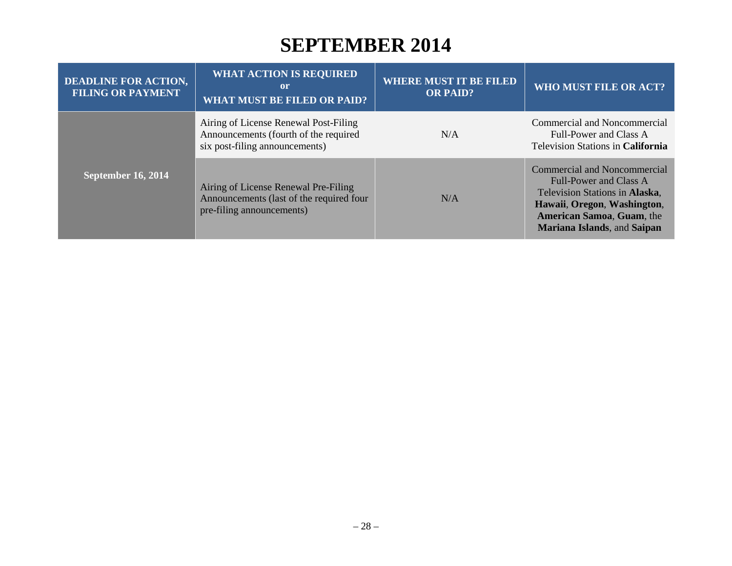#### **SEPTEMBER 2014**

| <b>DEADLINE FOR ACTION,</b><br><b>FILING OR PAYMENT</b> | <b>WHAT ACTION IS REQUIRED</b><br>or<br><b>WHAT MUST BE FILED OR PAID?</b>                                       | <b>WHERE MUST IT BE FILED</b><br><b>OR PAID?</b> | WHO MUST FILE OR ACT?                                                                                                                                                                                    |
|---------------------------------------------------------|------------------------------------------------------------------------------------------------------------------|--------------------------------------------------|----------------------------------------------------------------------------------------------------------------------------------------------------------------------------------------------------------|
|                                                         | Airing of License Renewal Post-Filing<br>Announcements (fourth of the required<br>six post-filing announcements) | N/A                                              | Commercial and Noncommercial<br>Full-Power and Class A<br>Television Stations in California                                                                                                              |
| <b>September 16, 2014</b>                               | Airing of License Renewal Pre-Filing<br>Announcements (last of the required four<br>pre-filing announcements)    | N/A                                              | <b>Commercial and Noncommercial</b><br>Full-Power and Class A<br>Television Stations in Alaska,<br>Hawaii, Oregon, Washington,<br><b>American Samoa, Guam, the</b><br><b>Mariana Islands, and Saipan</b> |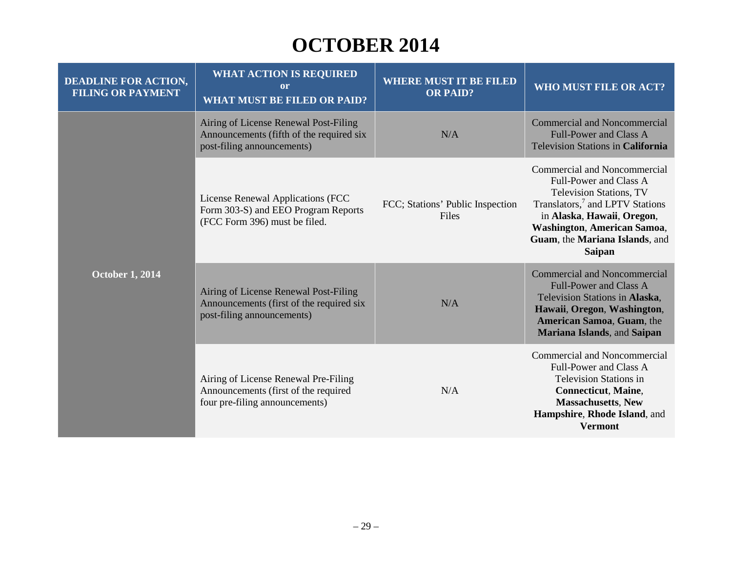| <b>DEADLINE FOR ACTION,</b><br><b>FILING OR PAYMENT</b> | <b>WHAT ACTION IS REQUIRED</b><br><sub>or</sub><br><b>WHAT MUST BE FILED OR PAID?</b>                           | <b>WHERE MUST IT BE FILED</b><br><b>OR PAID?</b> | WHO MUST FILE OR ACT?                                                                                                                                                                                                                            |
|---------------------------------------------------------|-----------------------------------------------------------------------------------------------------------------|--------------------------------------------------|--------------------------------------------------------------------------------------------------------------------------------------------------------------------------------------------------------------------------------------------------|
| <b>October 1, 2014</b>                                  | Airing of License Renewal Post-Filing<br>Announcements (fifth of the required six<br>post-filing announcements) | N/A                                              | <b>Commercial and Noncommercial</b><br><b>Full-Power and Class A</b><br><b>Television Stations in California</b>                                                                                                                                 |
|                                                         | License Renewal Applications (FCC<br>Form 303-S) and EEO Program Reports<br>(FCC Form 396) must be filed.       | FCC; Stations' Public Inspection<br>Files        | Commercial and Noncommercial<br>Full-Power and Class A<br>Television Stations, TV<br>Translators, <sup>7</sup> and LPTV Stations<br>in Alaska, Hawaii, Oregon,<br>Washington, American Samoa,<br>Guam, the Mariana Islands, and<br><b>Saipan</b> |
|                                                         | Airing of License Renewal Post-Filing<br>Announcements (first of the required six<br>post-filing announcements) | N/A                                              | Commercial and Noncommercial<br><b>Full-Power and Class A</b><br>Television Stations in Alaska,<br>Hawaii, Oregon, Washington,<br><b>American Samoa, Guam, the</b><br>Mariana Islands, and Saipan                                                |
|                                                         | Airing of License Renewal Pre-Filing<br>Announcements (first of the required<br>four pre-filing announcements)  | N/A                                              | <b>Commercial and Noncommercial</b><br>Full-Power and Class A<br><b>Television Stations in</b><br><b>Connecticut</b> , Maine,<br><b>Massachusetts, New</b><br>Hampshire, Rhode Island, and<br><b>Vermont</b>                                     |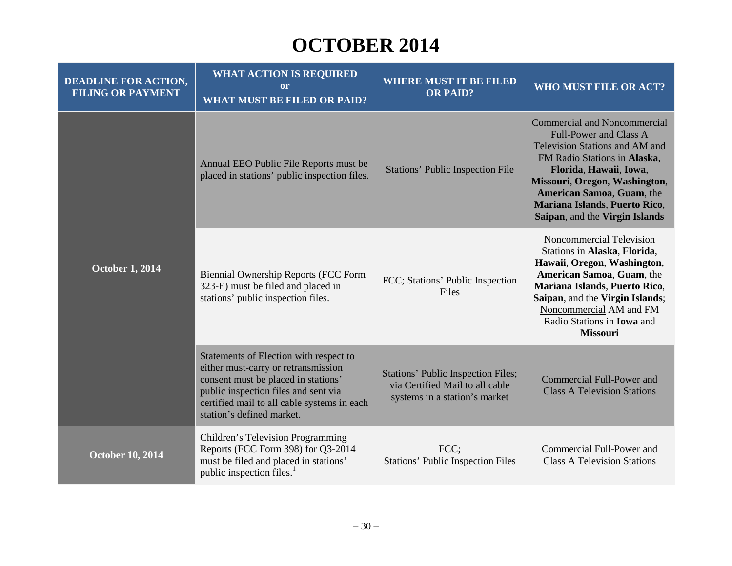| <b>DEADLINE FOR ACTION,</b><br><b>FILING OR PAYMENT</b> | <b>WHAT ACTION IS REQUIRED</b><br>or<br><b>WHAT MUST BE FILED OR PAID?</b>                                                                                                                                                               | <b>WHERE MUST IT BE FILED</b><br><b>OR PAID?</b>                                                       | <b>WHO MUST FILE OR ACT?</b>                                                                                                                                                                                                                                                                      |
|---------------------------------------------------------|------------------------------------------------------------------------------------------------------------------------------------------------------------------------------------------------------------------------------------------|--------------------------------------------------------------------------------------------------------|---------------------------------------------------------------------------------------------------------------------------------------------------------------------------------------------------------------------------------------------------------------------------------------------------|
| <b>October 1, 2014</b>                                  | Annual EEO Public File Reports must be<br>placed in stations' public inspection files.                                                                                                                                                   | <b>Stations' Public Inspection File</b>                                                                | <b>Commercial and Noncommercial</b><br><b>Full-Power and Class A</b><br>Television Stations and AM and<br>FM Radio Stations in Alaska,<br>Florida, Hawaii, Iowa,<br>Missouri, Oregon, Washington,<br>American Samoa, Guam, the<br>Mariana Islands, Puerto Rico,<br>Saipan, and the Virgin Islands |
|                                                         | <b>Biennial Ownership Reports (FCC Form</b><br>323-E) must be filed and placed in<br>stations' public inspection files.                                                                                                                  | FCC; Stations' Public Inspection<br>Files                                                              | Noncommercial Television<br>Stations in Alaska, Florida,<br>Hawaii, Oregon, Washington,<br>American Samoa, Guam, the<br>Mariana Islands, Puerto Rico,<br>Saipan, and the Virgin Islands;<br>Noncommercial AM and FM<br>Radio Stations in <b>Iowa</b> and<br>Missouri                              |
|                                                         | Statements of Election with respect to<br>either must-carry or retransmission<br>consent must be placed in stations'<br>public inspection files and sent via<br>certified mail to all cable systems in each<br>station's defined market. | Stations' Public Inspection Files;<br>via Certified Mail to all cable<br>systems in a station's market | Commercial Full-Power and<br><b>Class A Television Stations</b>                                                                                                                                                                                                                                   |
| October 10, 2014                                        | Children's Television Programming<br>Reports (FCC Form 398) for Q3-2014<br>must be filed and placed in stations'<br>public inspection files. <sup>1</sup>                                                                                | FCC;<br><b>Stations' Public Inspection Files</b>                                                       | Commercial Full-Power and<br><b>Class A Television Stations</b>                                                                                                                                                                                                                                   |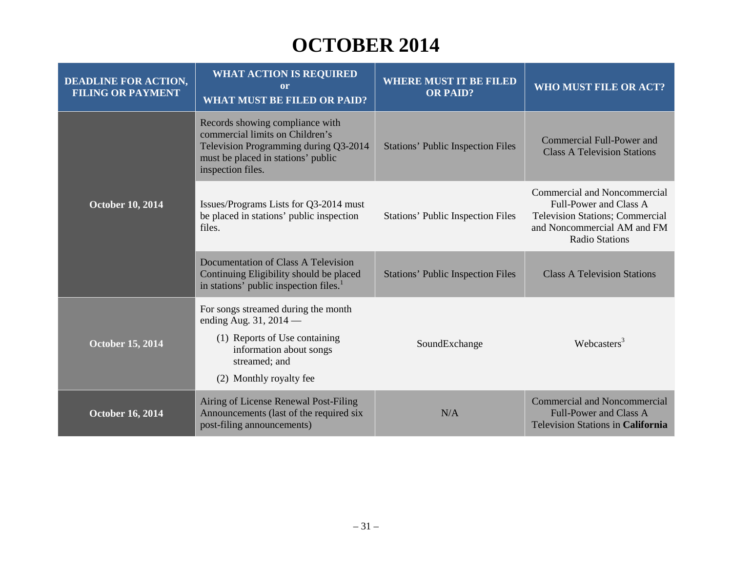| <b>DEADLINE FOR ACTION,</b><br><b>FILING OR PAYMENT</b> | <b>WHAT ACTION IS REQUIRED</b><br>or<br><b>WHAT MUST BE FILED OR PAID?</b>                                                                                              | <b>WHERE MUST IT BE FILED</b><br><b>OR PAID?</b> | <b>WHO MUST FILE OR ACT?</b>                                                                                                                                    |
|---------------------------------------------------------|-------------------------------------------------------------------------------------------------------------------------------------------------------------------------|--------------------------------------------------|-----------------------------------------------------------------------------------------------------------------------------------------------------------------|
| <b>October 10, 2014</b>                                 | Records showing compliance with<br>commercial limits on Children's<br>Television Programming during Q3-2014<br>must be placed in stations' public<br>inspection files.  | <b>Stations' Public Inspection Files</b>         | Commercial Full-Power and<br><b>Class A Television Stations</b>                                                                                                 |
|                                                         | Issues/Programs Lists for Q3-2014 must<br>be placed in stations' public inspection<br>files.                                                                            | <b>Stations' Public Inspection Files</b>         | <b>Commercial and Noncommercial</b><br>Full-Power and Class A<br><b>Television Stations; Commercial</b><br>and Noncommercial AM and FM<br><b>Radio Stations</b> |
|                                                         | Documentation of Class A Television<br>Continuing Eligibility should be placed<br>in stations' public inspection files. <sup>1</sup>                                    | <b>Stations' Public Inspection Files</b>         | <b>Class A Television Stations</b>                                                                                                                              |
| <b>October 15, 2014</b>                                 | For songs streamed during the month<br>ending Aug. $31, 2014$ —<br>(1) Reports of Use containing<br>information about songs<br>streamed; and<br>(2) Monthly royalty fee | SoundExchange                                    | Webcasters <sup>3</sup>                                                                                                                                         |
| <b>October 16, 2014</b>                                 | Airing of License Renewal Post-Filing<br>Announcements (last of the required six<br>post-filing announcements)                                                          | N/A                                              | <b>Commercial and Noncommercial</b><br>Full-Power and Class A<br><b>Television Stations in California</b>                                                       |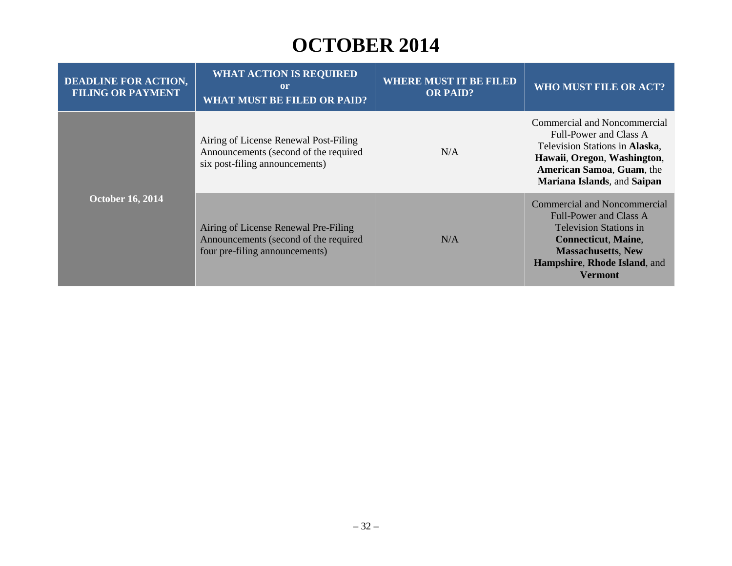| <b>DEADLINE FOR ACTION,</b><br><b>FILING OR PAYMENT</b> | <b>WHAT ACTION IS REQUIRED</b><br>or<br><b>WHAT MUST BE FILED OR PAID?</b>                                       | <b>WHERE MUST IT BE FILED</b><br><b>OR PAID?</b> | WHO MUST FILE OR ACT?                                                                                                                                                                                       |
|---------------------------------------------------------|------------------------------------------------------------------------------------------------------------------|--------------------------------------------------|-------------------------------------------------------------------------------------------------------------------------------------------------------------------------------------------------------------|
|                                                         | Airing of License Renewal Post-Filing<br>Announcements (second of the required<br>six post-filing announcements) | N/A                                              | Commercial and Noncommercial<br>Full-Power and Class A<br>Television Stations in Alaska,<br>Hawaii, Oregon, Washington,<br><b>American Samoa, Guam, the</b><br>Mariana Islands, and Saipan                  |
| <b>October 16, 2014</b>                                 | Airing of License Renewal Pre-Filing<br>Announcements (second of the required<br>four pre-filing announcements)  | N/A                                              | <b>Commercial and Noncommercial</b><br>Full-Power and Class A<br><b>Television Stations in</b><br><b>Connecticut, Maine,</b><br><b>Massachusetts, New</b><br>Hampshire, Rhode Island, and<br><b>Vermont</b> |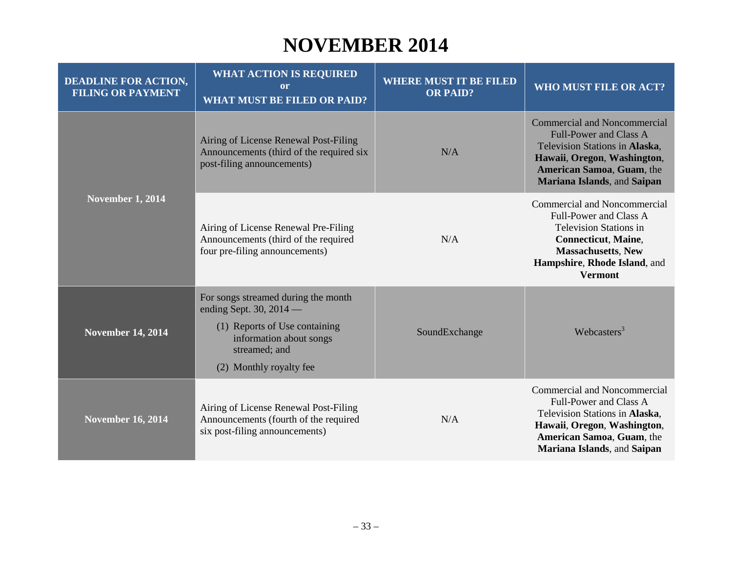#### **NOVEMBER 2014**

| <b>DEADLINE FOR ACTION,</b><br><b>FILING OR PAYMENT</b> | <b>WHAT ACTION IS REQUIRED</b><br>or<br><b>WHAT MUST BE FILED OR PAID?</b>                                                                                               | <b>WHERE MUST IT BE FILED</b><br><b>OR PAID?</b> | <b>WHO MUST FILE OR ACT?</b>                                                                                                                                                                         |
|---------------------------------------------------------|--------------------------------------------------------------------------------------------------------------------------------------------------------------------------|--------------------------------------------------|------------------------------------------------------------------------------------------------------------------------------------------------------------------------------------------------------|
| <b>November 1, 2014</b>                                 | Airing of License Renewal Post-Filing<br>Announcements (third of the required six<br>post-filing announcements)                                                          | N/A                                              | <b>Commercial and Noncommercial</b><br><b>Full-Power and Class A</b><br>Television Stations in Alaska,<br>Hawaii, Oregon, Washington,<br>American Samoa, Guam, the<br>Mariana Islands, and Saipan    |
|                                                         | Airing of License Renewal Pre-Filing<br>Announcements (third of the required<br>four pre-filing announcements)                                                           | N/A                                              | Commercial and Noncommercial<br>Full-Power and Class A<br><b>Television Stations in</b><br><b>Connecticut, Maine,</b><br><b>Massachusetts, New</b><br>Hampshire, Rhode Island, and<br><b>Vermont</b> |
| <b>November 14, 2014</b>                                | For songs streamed during the month<br>ending Sept. 30, $2014$ —<br>(1) Reports of Use containing<br>information about songs<br>streamed; and<br>(2) Monthly royalty fee | SoundExchange                                    | Webcasters <sup>3</sup>                                                                                                                                                                              |
| <b>November 16, 2014</b>                                | Airing of License Renewal Post-Filing<br>Announcements (fourth of the required<br>six post-filing announcements)                                                         | N/A                                              | Commercial and Noncommercial<br>Full-Power and Class A<br>Television Stations in Alaska,<br>Hawaii, Oregon, Washington,<br>American Samoa, Guam, the<br>Mariana Islands, and Saipan                  |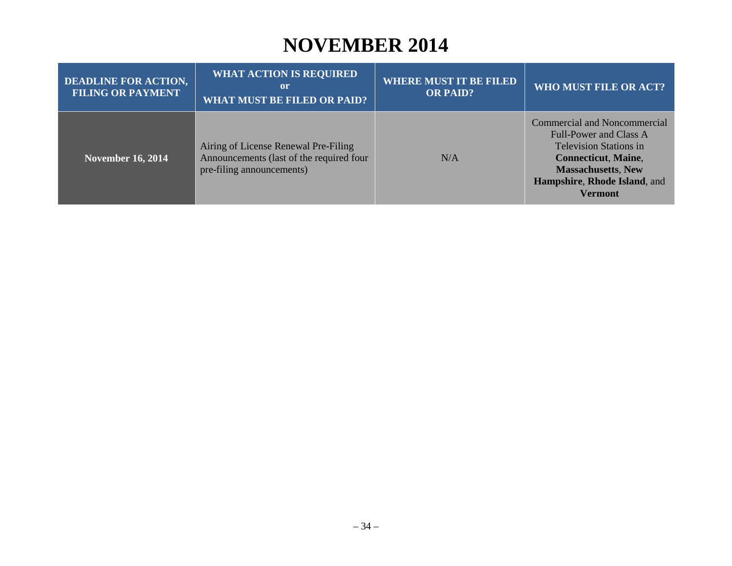### **NOVEMBER 2014**

| <b>DEADLINE FOR ACTION,</b><br><b>FILING OR PAYMENT</b> | <b>WHAT ACTION IS REQUIRED</b><br><b>l</b> or<br><b>WHAT MUST BE FILED OR PAID?</b>                           | <b>WHERE MUST IT BE FILED</b><br><b>OR PAID?</b> | <b>WHO MUST FILE OR ACT?</b>                                                                                                                                                                         |
|---------------------------------------------------------|---------------------------------------------------------------------------------------------------------------|--------------------------------------------------|------------------------------------------------------------------------------------------------------------------------------------------------------------------------------------------------------|
| <b>November 16, 2014</b>                                | Airing of License Renewal Pre-Filing<br>Announcements (last of the required four<br>pre-filing announcements) | N/A                                              | Commercial and Noncommercial<br>Full-Power and Class A<br><b>Television Stations in</b><br><b>Connecticut, Maine,</b><br><b>Massachusetts, New</b><br>Hampshire, Rhode Island, and<br><b>Vermont</b> |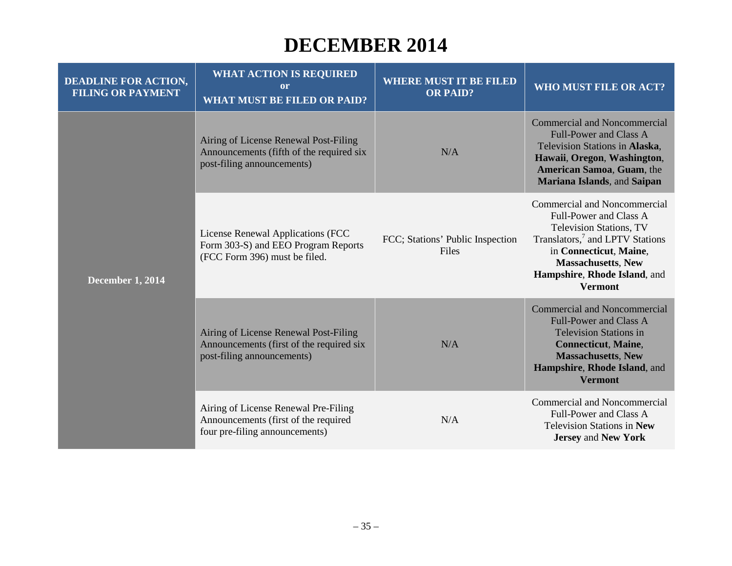#### **DECEMBER 2014**

| <b>DEADLINE FOR ACTION,</b><br><b>FILING OR PAYMENT</b> | <b>WHAT ACTION IS REQUIRED</b><br><sub>or</sub><br><b>WHAT MUST BE FILED OR PAID?</b>                           | <b>WHERE MUST IT BE FILED</b><br><b>OR PAID?</b> | <b>WHO MUST FILE OR ACT?</b>                                                                                                                                                                                                                     |
|---------------------------------------------------------|-----------------------------------------------------------------------------------------------------------------|--------------------------------------------------|--------------------------------------------------------------------------------------------------------------------------------------------------------------------------------------------------------------------------------------------------|
| <b>December 1, 2014</b>                                 | Airing of License Renewal Post-Filing<br>Announcements (fifth of the required six<br>post-filing announcements) | N/A                                              | <b>Commercial and Noncommercial</b><br><b>Full-Power and Class A</b><br>Television Stations in Alaska,<br>Hawaii, Oregon, Washington,<br>American Samoa, Guam, the<br><b>Mariana Islands</b> , and Saipan                                        |
|                                                         | License Renewal Applications (FCC<br>Form 303-S) and EEO Program Reports<br>(FCC Form 396) must be filed.       | FCC; Stations' Public Inspection<br>Files        | Commercial and Noncommercial<br>Full-Power and Class A<br><b>Television Stations, TV</b><br>Translators, <sup>7</sup> and LPTV Stations<br>in Connecticut, Maine,<br><b>Massachusetts, New</b><br>Hampshire, Rhode Island, and<br><b>Vermont</b> |
|                                                         | Airing of License Renewal Post-Filing<br>Announcements (first of the required six<br>post-filing announcements) | N/A                                              | <b>Commercial and Noncommercial</b><br><b>Full-Power and Class A</b><br><b>Television Stations in</b><br><b>Connecticut, Maine,</b><br><b>Massachusetts, New</b><br>Hampshire, Rhode Island, and<br><b>Vermont</b>                               |
|                                                         | Airing of License Renewal Pre-Filing<br>Announcements (first of the required<br>four pre-filing announcements)  | N/A                                              | Commercial and Noncommercial<br>Full-Power and Class A<br><b>Television Stations in New</b><br><b>Jersey and New York</b>                                                                                                                        |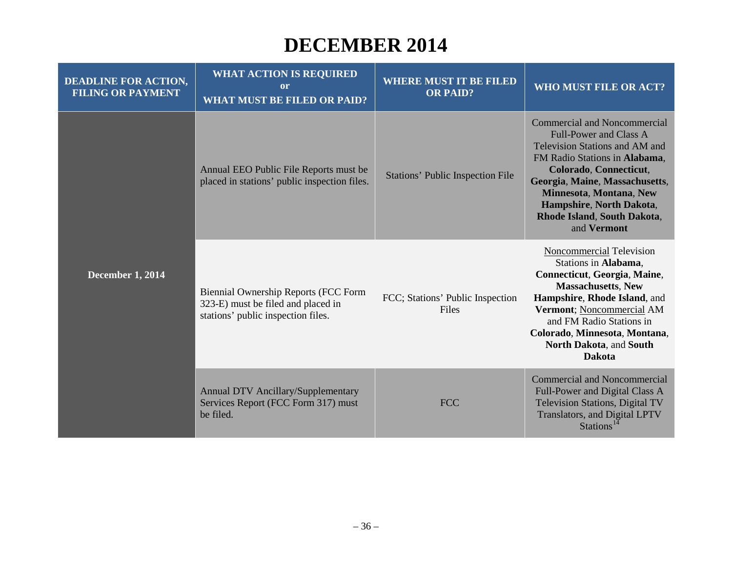#### **DECEMBER 2014**

| <b>DEADLINE FOR ACTION,</b><br><b>FILING OR PAYMENT</b> | <b>WHAT ACTION IS REQUIRED</b><br><sub>or</sub><br><b>WHAT MUST BE FILED OR PAID?</b>                                   | <b>WHERE MUST IT BE FILED</b><br><b>OR PAID?</b> | WHO MUST FILE OR ACT?                                                                                                                                                                                                                                                                                    |
|---------------------------------------------------------|-------------------------------------------------------------------------------------------------------------------------|--------------------------------------------------|----------------------------------------------------------------------------------------------------------------------------------------------------------------------------------------------------------------------------------------------------------------------------------------------------------|
| <b>December 1, 2014</b>                                 | Annual EEO Public File Reports must be<br>placed in stations' public inspection files.                                  | <b>Stations' Public Inspection File</b>          | <b>Commercial and Noncommercial</b><br><b>Full-Power and Class A</b><br>Television Stations and AM and<br>FM Radio Stations in Alabama.<br>Colorado, Connecticut,<br>Georgia, Maine, Massachusetts,<br>Minnesota, Montana, New<br>Hampshire, North Dakota,<br>Rhode Island, South Dakota,<br>and Vermont |
|                                                         | <b>Biennial Ownership Reports (FCC Form</b><br>323-E) must be filed and placed in<br>stations' public inspection files. | FCC; Stations' Public Inspection<br>Files        | Noncommercial Television<br>Stations in Alabama,<br>Connecticut, Georgia, Maine,<br><b>Massachusetts, New</b><br>Hampshire, Rhode Island, and<br>Vermont; Noncommercial AM<br>and FM Radio Stations in<br>Colorado, Minnesota, Montana,<br>North Dakota, and South<br><b>Dakota</b>                      |
|                                                         | <b>Annual DTV Ancillary/Supplementary</b><br>Services Report (FCC Form 317) must<br>be filed.                           | <b>FCC</b>                                       | <b>Commercial and Noncommercial</b><br>Full-Power and Digital Class A<br>Television Stations, Digital TV<br>Translators, and Digital LPTV<br>Stations <sup>14</sup>                                                                                                                                      |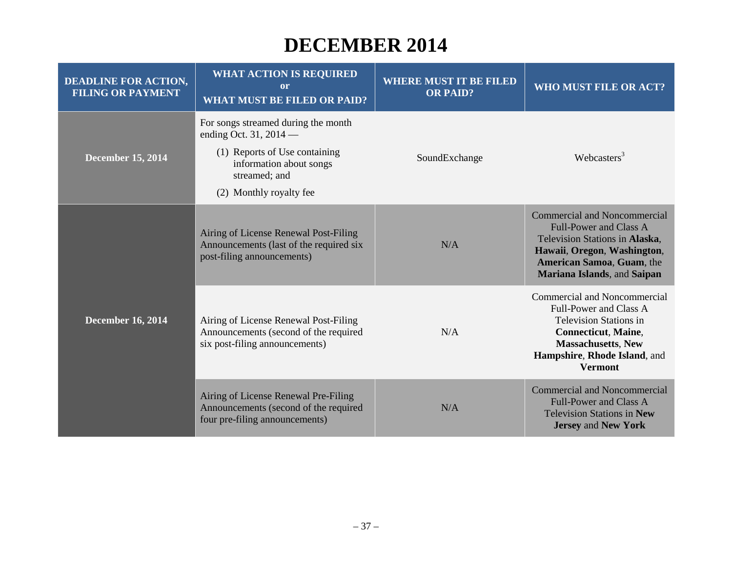#### **DECEMBER 2014**

| <b>DEADLINE FOR ACTION,</b><br><b>FILING OR PAYMENT</b> | <b>WHAT ACTION IS REQUIRED</b><br><b>or</b><br><b>WHAT MUST BE FILED OR PAID?</b>                                                                                     | <b>WHERE MUST IT BE FILED</b><br><b>OR PAID?</b> | <b>WHO MUST FILE OR ACT?</b>                                                                                                                                                                                        |
|---------------------------------------------------------|-----------------------------------------------------------------------------------------------------------------------------------------------------------------------|--------------------------------------------------|---------------------------------------------------------------------------------------------------------------------------------------------------------------------------------------------------------------------|
| <b>December 15, 2014</b>                                | For songs streamed during the month<br>ending Oct. 31, 2014 —<br>(1) Reports of Use containing<br>information about songs<br>streamed; and<br>(2) Monthly royalty fee | SoundExchange                                    | Webcasters <sup>3</sup>                                                                                                                                                                                             |
| <b>December 16, 2014</b>                                | Airing of License Renewal Post-Filing<br>Announcements (last of the required six<br>post-filing announcements)                                                        | N/A                                              | <b>Commercial and Noncommercial</b><br><b>Full-Power and Class A</b><br>Television Stations in Alaska,<br>Hawaii, Oregon, Washington,<br>American Samoa, Guam, the<br>Mariana Islands, and Saipan                   |
|                                                         | Airing of License Renewal Post-Filing<br>Announcements (second of the required<br>six post-filing announcements)                                                      | N/A                                              | <b>Commercial and Noncommercial</b><br><b>Full-Power and Class A</b><br><b>Television Stations in</b><br><b>Connecticut</b> , Maine,<br><b>Massachusetts, New</b><br>Hampshire, Rhode Island, and<br><b>Vermont</b> |
|                                                         | Airing of License Renewal Pre-Filing<br>Announcements (second of the required<br>four pre-filing announcements)                                                       | N/A                                              | <b>Commercial and Noncommercial</b><br><b>Full-Power and Class A</b><br><b>Television Stations in New</b><br><b>Jersey and New York</b>                                                                             |